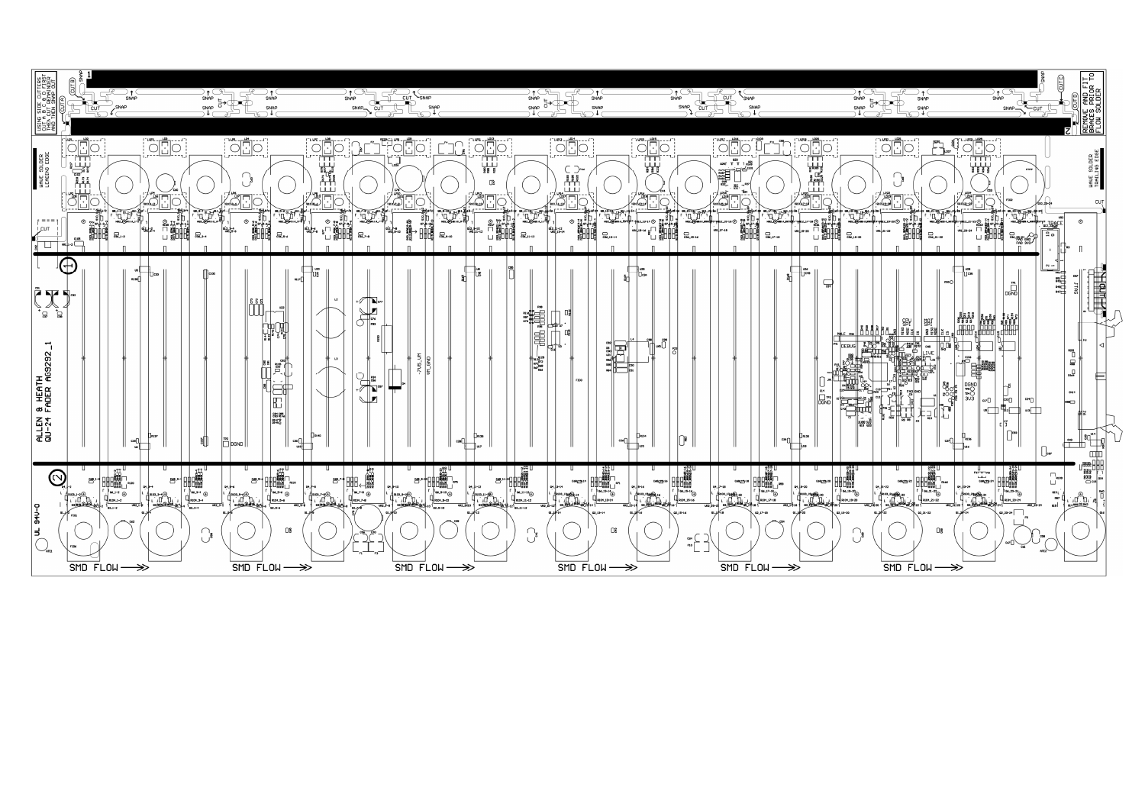| ٣٥<br><u>შო</u><br><b>DENTIFIE</b><br><b>SEPTER</b> | ⋒                                                                                                                                                                                                                                                                                                                                                                                                                                                                                                                                                                                                                                                                                                               |                                                                                                                                                                                                                                                                                                                                                                                                                                                                                                                                                                                                                                                                                                                                                                                                                                                                                                                                                                                                                                                    | SNAP<br>SNAP_<br>CUT                                                                                                                                                                                                                                                                                                                                                                                                                                                                                                                                                                                                                                                                                                                                                                 | SNAP                                                                                                                                                                                                                                                                                                                                                                                                                                                                                                                                                                                                                                                                                                                                                                                                                                                                                            | CUT<br>SNAP<br>SNAP                                                                                                                                                                                                                                                                                                                                                                                                                                                                                                                                                                                                                                                                                                                                                                                                                                                                                                                                                                                                                                                                                                                                   |
|-----------------------------------------------------|-----------------------------------------------------------------------------------------------------------------------------------------------------------------------------------------------------------------------------------------------------------------------------------------------------------------------------------------------------------------------------------------------------------------------------------------------------------------------------------------------------------------------------------------------------------------------------------------------------------------------------------------------------------------------------------------------------------------|----------------------------------------------------------------------------------------------------------------------------------------------------------------------------------------------------------------------------------------------------------------------------------------------------------------------------------------------------------------------------------------------------------------------------------------------------------------------------------------------------------------------------------------------------------------------------------------------------------------------------------------------------------------------------------------------------------------------------------------------------------------------------------------------------------------------------------------------------------------------------------------------------------------------------------------------------------------------------------------------------------------------------------------------------|--------------------------------------------------------------------------------------------------------------------------------------------------------------------------------------------------------------------------------------------------------------------------------------------------------------------------------------------------------------------------------------------------------------------------------------------------------------------------------------------------------------------------------------------------------------------------------------------------------------------------------------------------------------------------------------------------------------------------------------------------------------------------------------|-------------------------------------------------------------------------------------------------------------------------------------------------------------------------------------------------------------------------------------------------------------------------------------------------------------------------------------------------------------------------------------------------------------------------------------------------------------------------------------------------------------------------------------------------------------------------------------------------------------------------------------------------------------------------------------------------------------------------------------------------------------------------------------------------------------------------------------------------------------------------------------------------|-------------------------------------------------------------------------------------------------------------------------------------------------------------------------------------------------------------------------------------------------------------------------------------------------------------------------------------------------------------------------------------------------------------------------------------------------------------------------------------------------------------------------------------------------------------------------------------------------------------------------------------------------------------------------------------------------------------------------------------------------------------------------------------------------------------------------------------------------------------------------------------------------------------------------------------------------------------------------------------------------------------------------------------------------------------------------------------------------------------------------------------------------------|
| WHVE SOLDER<br>LEADING EDGE                         | $\begin{picture}(20,10) \put(0,0){\line(1,0){10}} \put(15,0){\line(1,0){10}} \put(15,0){\line(1,0){10}} \put(15,0){\line(1,0){10}} \put(15,0){\line(1,0){10}} \put(15,0){\line(1,0){10}} \put(15,0){\line(1,0){10}} \put(15,0){\line(1,0){10}} \put(15,0){\line(1,0){10}} \put(15,0){\line(1,0){10}} \put(15,0){\line(1,0){10}} \put(15,0){\line(1$<br>$\begin{picture}(120,115) \put(0,0){\line(1,0){155}} \put(15,0){\line(1,0){155}} \put(15,0){\line(1,0){155}} \put(15,0){\line(1,0){155}} \put(15,0){\line(1,0){155}} \put(15,0){\line(1,0){155}} \put(15,0){\line(1,0){155}} \put(15,0){\line(1,0){155}} \put(15,0){\line(1,0){155}} \put(15,0){\line(1,0){155}} \put(15,0){\line(1,0){155$<br>LLL<br>嘴面 | $\begin{picture}(120,110) \put(10,110){\line(1,0){10}} \put(10,110){\line(1,0){10}} \put(10,110){\line(1,0){10}} \put(10,110){\line(1,0){10}} \put(10,110){\line(1,0){10}} \put(10,110){\line(1,0){10}} \put(10,110){\line(1,0){10}} \put(10,110){\line(1,0){10}} \put(10,110){\line(1,0){10}} \put(10,110){\line(1,0){10}} \put(10,1$<br>$\begin{picture}(120,140)(-0.00,0){\line(1,0){10}} \put(15,140){\line(1,0){10}} \put(15,140){\line(1,0){10}} \put(15,140){\line(1,0){10}} \put(15,140){\line(1,0){10}} \put(15,140){\line(1,0){10}} \put(15,140){\line(1,0){10}} \put(15,140){\line(1,0){10}} \put(15,140){\line(1,0){10}} \put(15,140){\line(1,0){10}} \put(15,140$<br>$\begin{picture}(20,10) \put(0,0){\line(1,0){10}} \put(15,0){\line(1,0){10}} \put(15,0){\line(1,0){10}} \put(15,0){\line(1,0){10}} \put(15,0){\line(1,0){10}} \put(15,0){\line(1,0){10}} \put(15,0){\line(1,0){10}} \put(15,0){\line(1,0){10}} \put(15,0){\line(1,0){10}} \put(15,0){\line(1,0){10}} \put(15,0){\line(1,0){10}} \put(15,0){\line(1$<br>≋⊓া≍<br>레 | <u>Le des est de la</u><br>Le dessayer<br>Le dessayer<br>៝<br>៲៓<br>$\frac{1}{\sqrt{\frac{1}{\log(1-\epsilon)}}}$<br>2010-10/                                                                                                                                                                                                                                                                                                                                                                                                                                                                                                                                                                                                                                                        | $\bigcirc \frac{10!4!}{\bigcirc \frac{10!4!}{\bigcirc \frac{1}{2} \cdots \cdots}}$<br>$\begin{picture}(120,140)(-10,140)(-10,140)(-10,140)(-10,140)(-10,140)(-10,140)(-10,140)(-10,140)(-10,140)(-10,140)(-10,140)(-10,140)(-10,140)(-10,140)(-10,140)(-10,140)(-10,140)(-10,140)(-10,140)(-10,140)(-10,140)(-10,140)(-10,140)(-10,140)(-10,140)(-10,140$<br>$\frac{1485 - \frac{1015}{100}}{2}$<br>$\subset \supset$ c46<br>$\begin{array}{c} \begin{array}{c} \begin{array}{c} \begin{array}{c} \begin{array}{c} \end{array} \\ \begin{array}{c} \end{array} \\ \begin{array}{c} \end{array} \\ \begin{array}{c} \end{array} \\ \begin{array}{c} \end{array} \\ \begin{array}{c} \end{array} \end{array} \end{array} \end{array}$<br>СĜ<br>$\sqrt{\frac{1}{100}}$<br>ری) ہ<br>كويك                                                                                                            | $\frac{1}{2}$<br>225<br>  T_T__<br>1 p169<br>$\begin{array}{c}\n\begin{array}{c}\n\text{R179} \\ \text{R182}\n\end{array} \\ \begin{array}{c}\n\text{R182}\n\end{array} \\ \begin{array}{c}\n\text{R182}\n\end{array} \\ \begin{array}{c}\n\text{R182}\n\end{array} \\ \begin{array}{c}\n\text{R28}\n\end{array} \\ \begin{array}{c}\n\text{R29}\n\end{array} \\ \begin{array}{c}\n\text{R20}\n\end{array} \\ \begin{array}{c}\n\text{R21}\n\end{array} \\ \begin{array}{c}\n\text{R22}\n\end{array} \\ \$<br><b>ELECT</b><br>路口<br>(روبار                                                                                                                                                                                                                                                                                                                                                                                                                                                                                                                                                                                                            |
| I CUT<br>$\frac{1}{8}$ $\Box$                       | $\sum_{0}^{36}$ 1-2<br>$\begin{array}{c} \begin{array}{c} \n\hline \n\end{array} \\ \hline\n\end{array}$ wat $\begin{array}{c} \hline\n\end{array}$ are constant.                                                                                                                                                                                                                                                                                                                                                                                                                                                                                                                                               | $\begin{array}{cccccc} \oplus&&&&&&\\ \oplus&&&&&\\ \oplus&&&&&\\ \oplus&&&&&\\ \oplus&&&&\\ \oplus&&&&\\ \oplus&&&&\\ \oplus&&&&\\ \oplus&&&&\\ \oplus&&&&\\ \oplus&&&&\\ \oplus&&&&\\ \oplus&&&&\\ \oplus&&&&\\ \oplus&&&&\\ \oplus&&&&\\ \oplus&&&&\\ \oplus&&&&\\ \oplus&&&&\\ \oplus&&&&\\ \oplus&&&&\\ \oplus&&&&\\ \oplus&&&&\\ \oplus&&&&\\ \oplus&&&&\\ \oplus&&&&\\ \oplus&&&&\\ \oplus&&&&\\ \oplus&&&&\\ \oplus&&&&\\ \oplus&&&&\\ \oplus&&&&\\ \oplus&&&&\\ \oplus&&&&\\ \oplus&&$<br>ן ניישות<br>המחומים<br>שיטויים<br>בין המחומים<br>$G_{36-5-6}$<br>$\sum_{36-3-4}$                                                                                                                                                                                                                                                                                                                                                                                                                                                                | $T_{\rm max}$<br>$\begin{picture}(120,140)(-20,0) \put(0,0){\line(1,0){15}} \put(15,0){\line(1,0){15}} \put(15,0){\line(1,0){15}} \put(15,0){\line(1,0){15}} \put(15,0){\line(1,0){15}} \put(15,0){\line(1,0){15}} \put(15,0){\line(1,0){15}} \put(15,0){\line(1,0){15}} \put(15,0){\line(1,0){15}} \put(15,0){\line(1,0){15}} \put(15,0){\line(1,0){15}} \put(1$<br>(\$) - 67628<br>(h) - 67688<br>(\$) - 67688<br>$rac{a}{\sqrt{R}}\frac{a}{z-a}$<br>$\alpha$ 12 $\frac{1}{2}$ -10<br>ai2_≯–e<br>u¤al_s–10<br>$\frac{1}{286}$ 9-10<br>$\sum_{c36,7-8}$                                                                                                                                                                                                                             | $\begin{array}{c}\n\Box \xi \oplus \overline{\xi} \oplus \overline{\xi} \oplus \overline{\xi} \oplus \overline{\xi} \oplus \overline{\xi} \oplus \overline{\xi} \oplus \overline{\xi} \oplus \overline{\xi} \oplus \overline{\xi} \oplus \overline{\xi} \oplus \overline{\xi} \oplus \overline{\xi} \oplus \overline{\xi} \oplus \overline{\xi} \oplus \overline{\xi} \oplus \overline{\xi} \oplus \overline{\xi} \oplus \overline{\xi} \oplus \overline{\xi} \oplus \overline{\xi} \oplus \overline{\xi} \oplus \overline{\xi} \oplus \overline{\xi} \$<br>$_{\oplus}$<br>神通<br>$\alpha$ 12-11-12<br>uRI <sub>1</sub> 13-14<br>$\sum_{c36\_11-12}$<br>$\Box$ C36_13-14                                                                                                                                                                                                                         | <u>ા</u> ૩-14 ⊕<br>$\begin{picture}(18,17) \put(0,0){\line(1,0){155}} \put(15,0){\line(1,0){155}} \put(15,0){\line(1,0){155}} \put(15,0){\line(1,0){155}} \put(15,0){\line(1,0){155}} \put(15,0){\line(1,0){155}} \put(15,0){\line(1,0){155}} \put(15,0){\line(1,0){155}} \put(15,0){\line(1,0){155}} \put(15,0){\line(1,0){155}} \put(15,0){\line(1,0){155}} \$<br><b>ELECTE</b><br>L<br>Designation<br>Designation<br>R117-18<br>$\Box$ C36_17-18<br>$C_{36\_19-20}$<br>$\Box$ C36_15-16<br>п                                                                                                                                                                                                                                                                                                                                                                                                                                                                                                                                                                                                                                                       |
| $ \vec{P} \rangle$                                  | Œ<br>R138<br>C32                                                                                                                                                                                                                                                                                                                                                                                                                                                                                                                                                                                                                                                                                                | ∭a∞<br>R117<br>តិស្វ                                                                                                                                                                                                                                                                                                                                                                                                                                                                                                                                                                                                                                                                                                                                                                                                                                                                                                                                                                                                                               | L2<br>$\sqrt{ \mathbf{L} }$<br>⋓<br>$\sum_{n=1}^{\infty}$                                                                                                                                                                                                                                                                                                                                                                                                                                                                                                                                                                                                                                                                                                                            | 剥<br>P38<br>$\begin{tabular}{c c} 1000 & 0000 \\ \hline 14& 2 & 2 \\ 2 & 10 & 1 \\ 2 & 2 & 2 \\ 2 & 2 & 2 \\ 2 & 2 & 2 \\ 2 & 2 & 2 \\ 2 & 2 & 2 \\ 2 & 2 & 2 \\ 2 & 2 & 2 \\ 2 & 2 & 2 \\ 2 & 2 & 2 \\ 2 & 2 & 2 \\ 2 & 2 & 2 \\ 2 & 2 & 2 \\ 2 & 2 & 2 \\ 2 & 2 & 2 \\ 2 & 2 & 2 \\ 2 & 2 & 2 \\ 2 & 2 & 2 \\ 2 & 2 & 2 \\ 2 & 2 & 2 \\ 2 & $<br>⊐কেতিদ                                                                                                                                                                                                                                                                                                                                                                                                                                                                                                                                       | ∦∏c∗e<br>ชื่<br>⋤<br>DEBUG                                                                                                                                                                                                                                                                                                                                                                                                                                                                                                                                                                                                                                                                                                                                                                                                                                                                                                                                                                                                                                                                                                                            |
| & HEATH<br>FADER AG9292<br>ALLEN<br>QU-24           | cıs O <sub>n</sub>                                                                                                                                                                                                                                                                                                                                                                                                                                                                                                                                                                                                                                                                                              | $\begin{picture}(180,170)(-10,0) \put(0,0){\line(1,0){15}} \put(10,0){\line(1,0){15}} \put(10,0){\line(1,0){15}} \put(10,0){\line(1,0){15}} \put(10,0){\line(1,0){15}} \put(10,0){\line(1,0){15}} \put(10,0){\line(1,0){15}} \put(10,0){\line(1,0){15}} \put(10,0){\line(1,0){15}} \put(10,0){\line(1,0){15}} \put(10,0){\line(1,0){15}} \put(1$<br>Ł<br>$\begin{array}{r} \tt{CG1} \tt{CG5} \\ \tt{CG3} \tt{R146} \\ \tt{R147} \tt{\Phi} \\ \tt{R149} \tt{\Phi} \end{array}$<br>$\boxed{\frac{TP2}{DGND}}$<br>a∥                                                                                                                                                                                                                                                                                                                                                                                                                                                                                                                                  | -705_VM<br>M_GND<br>L3<br>$\begin{picture}(20,5) \put(0,0){\line(1,0){155}} \put(15,0){\line(1,0){155}} \put(15,0){\line(1,0){155}} \put(15,0){\line(1,0){155}} \put(15,0){\line(1,0){155}} \put(15,0){\line(1,0){155}} \put(15,0){\line(1,0){155}} \put(15,0){\line(1,0){155}} \put(15,0){\line(1,0){155}} \put(15,0){\line(1,0){155}} \put(15,0){\line(1,0){155}} \put$<br>11 pi<br>$\frac{1}{2}$ R140<br>c28                                                                                                                                                                                                                                                                                                                                                                      | $\frac{1}{2}$<br>$\begin{array}{c}\n\begin{matrix}\n1 & 28 \\ 18 & 27 \\ 18 & 28 \\ 18 & 28 \\ 18 & 28 \\ 18 & 28 \\ 18 & 28 \\ 18 & 28 \\ 18 & 28 \\ 18 & 28 \\ 18 & 28 \\ 18 & 28 \\ 18 & 28 \\ 18 & 28 \\ 18 & 28 \\ 18 & 28 \\ 18 & 28 \\ 18 & 28 \\ 18 & 28 \\ 18 & 28 \\ 28 & 28 \\ 28 & 28 \\ 28 & 28 \\ 28 & 28 \\ 28 & 28 \\ 28 & 28 \\ 28 & 28 \\ 28 & 28 \\ 28 & 28 \\ 28 & $<br>$\Box$ eso<br>FID3<br><b>R134</b><br>R135<br>c26                                                                                                                                                                                                                                                                                                                                                                                                                                                    | C14<br><b>DGND</b><br>└╍<br>$\Box$ R139<br>∏≩<br>C29                                                                                                                                                                                                                                                                                                                                                                                                                                                                                                                                                                                                                                                                                                                                                                                                                                                                                                                                                                                                                                                                                                  |
| $\bigcup_{n=1}^{\infty}$                            | $\begin{picture}(120,110) \put(0,0){\line(1,0){15}} \put(15,0){\line(1,0){15}} \put(15,0){\line(1,0){15}} \put(15,0){\line(1,0){15}} \put(15,0){\line(1,0){15}} \put(15,0){\line(1,0){15}} \put(15,0){\line(1,0){15}} \put(15,0){\line(1,0){15}} \put(15,0){\line(1,0){15}} \put(15,0){\line(1,0){15}} \put(15,0){\line(1,0){15}} \put(15,0){\line$<br>$\bigcirc$<br>- <sup>1</sup> ss_1-2 ⊕<br>$\Box_{\text{mod-1-2}}$<br>$SMD$ FLOW $\longrightarrow$                                                                                                                                                                                                                                                         | $\begin{array}{c}\n\begin{array}{c}\n\frac{1}{2} & \frac{1}{2} \\ \frac{1}{2} & \frac{1}{2} \\ \frac{1}{2} & \frac{1}{2} \\ \frac{1}{2} & \frac{1}{2} \\ \frac{1}{2} & \frac{1}{2} \\ \frac{1}{2} & \frac{1}{2} \\ \frac{1}{2} & \frac{1}{2} \\ \frac{1}{2} & \frac{1}{2} \\ \frac{1}{2} & \frac{1}{2} \\ \frac{1}{2} & \frac{1}{2} \\ \frac{1}{2} & \frac{1}{2} \\ \frac{1}{2} & \frac{1}{2} \\ \frac{1}{2} & \frac{1$<br>。<br>一<br><u>ငဴေ</u> း-<br>้คนเธ<br>04_B-6<br>$\overline{\mathsf{P}}$ as $3-4$ $\oplus$<br>_ <sup>∥</sup> <sup>06_5–6</sup> ⊕<br>$\begin{picture}(120,110) \put(0,0){\line(1,0){100}} \put(15,0){\line(1,0){100}} \put(15,0){\line(1,0){100}} \put(15,0){\line(1,0){100}} \put(15,0){\line(1,0){100}} \put(15,0){\line(1,0){100}} \put(15,0){\line(1,0){100}} \put(15,0){\line(1,0){100}} \put(15,0){\line(1,0){100}} \put(15,0){\line(1,0){100}} \put(15,0){\line(1,0){100$<br>$\Box$ 8<br>$SMD$ FLOW $\longrightarrow$                                                                                                | ᢡ- <sup>۶-</sup><br>04_1-12<br>04_ <b>p</b> -10<br>$\begin{bmatrix} 1 & 0 & 0 & 0 \\ 0 & 0 & 0 & 0 \\ 0 & 0 & 0 & 0 \\ 0 & 0 & 0 & 0 \\ 0 & 0 & 0 & 0 \\ 0 & 0 & 0 & 0 \\ 0 & 0 & 0 & 0 \\ 0 & 0 & 0 & 0 \\ 0 & 0 & 0 & 0 \\ 0 & 0 & 0 & 0 \\ 0 & 0 & 0 & 0 \\ 0 & 0 & 0 & 0 \\ 0 & 0 & 0 & 0 \\ 0 & 0 & 0 & 0 \\ 0 & 0 & 0 & 0 \\ 0 & 0 & 0 & 0 \\ 0 & 0 & 0 & 0 \\ 0 & 0 & 0 & $<br>P <sup>or_e_o</sup> ⊝<br>)<br>$\frac{1}{\sqrt{1-\frac{1}{2}}}\int_{\frac{\pi}{2}}^{\frac{\pi}{2}}\frac{1}{2}$<br>$\frac{1}{\sqrt{2}}\int_{\frac{\pi}{2}}^{\frac{\pi}{2}}\frac{1}{2}$<br>$\frac{\pi}{2}$<br>$\frac{\pi}{2}$<br>$\frac{\pi}{2}$<br>┨ <sub>ҎӀ</sub> ѻҙ_ҙ⊣₫⊖<br>╿╻╵┚╹╶<br>$\Box$ R104_9-10<br>03 890 8 800 810 10 102 9-10<br>VR2_7-8 '<br>$\overline{SMD}$ FLOW $\longrightarrow$ | $\begin{picture}(120,115) \put(0,0){\line(1,0){150}} \put(15,0){\line(1,0){150}} \put(15,0){\line(1,0){150}} \put(15,0){\line(1,0){150}} \put(15,0){\line(1,0){150}} \put(15,0){\line(1,0){150}} \put(15,0){\line(1,0){150}} \put(15,0){\line(1,0){150}} \put(15,0){\line(1,0){150}} \put(15,0){\line(1,0){150}} \put(15,0){\line(1,0){150$<br>LEBRAND<br>염-11<br>C68 (13-14<br>94_13-14<br>$\begin{picture}(130,10) \put(0,0){\line(1,0){10}} \put(15,0){\line(1,0){10}} \put(15,0){\line(1,0){10}} \put(15,0){\line(1,0){10}} \put(15,0){\line(1,0){10}} \put(15,0){\line(1,0){10}} \put(15,0){\line(1,0){10}} \put(15,0){\line(1,0){10}} \put(15,0){\line(1,0){10}} \put(15,0){\line(1,0){10}} \put(15,0){\line(1,0){10}} \put(15,0){\line($<br>$\mathbb{Q}_{\text{RIO4}\_11-12}$<br>$\mathbb{Q}_{\text{\tiny{RIO1\_13-14}}}$<br>02_13-14<br>Ωŝ<br>်<br>(၂-ဦ<br>$SMD$ FLOW $\longrightarrow$ | $\begin{tabular}{c} \hline \multicolumn{1}{c}{\multicolumn{1}{c}{\textbf{1}}\multicolumn{1}{c}{\textbf{2}}\multicolumn{1}{c}{\textbf{3}}\multicolumn{1}{c}{\textbf{4}}\multicolumn{1}{c}{\textbf{5}}\multicolumn{1}{c}{\textbf{6}}\multicolumn{1}{c}{\textbf{7}}\multicolumn{1}{c}{\textbf{8}}\multicolumn{1}{c}{\textbf{9}}\multicolumn{1}{c}{\textbf{1}}\multicolumn{1}{c}{\textbf{1}}\multicolumn{1}{c}{\textbf{1}}\multicolumn{1}{c}{\textbf{1}}\multicolumn{$<br>$\begin{tabular}{c} 1 & 1 & 1 \\ \hline 8 & 1 & 1 \\ \hline 8 & 1 & 1 \\ \hline 9 & 10 & 10 \\ \hline 1 & 10 & 10 \\ \hline 1 & 10 & 10 \\ \hline 0 & 10 & 10 \\ \hline 1 & 10 & 10 \\ \hline 0 & 10 & 10 \\ \hline \end{tabular}$<br>C68 <del>(15)</del> 16<br>C68단기18<br>C68 (19 20<br>ירדום<br>∰בוליים<br>קיביים ח<br>34_\$9-20<br>94_17-18<br>ď.<br>$\Box$ RIO4_15-16<br>$\mathbb{Q}_{\text{RIO4}\_17-18}$<br>$\frac{1}{2}$ R104_19-20<br>URZ 15-14 OS BOLALANDO JE 1418<br>$22\_15 - 16$<br>02_19-20<br>$\bigcup_{i=1}^{\infty}$<br>$\begin{array}{c}\n\hline\n\end{array}\n\qquad\n\begin{array}{c}\n\hline\n\end{array}\n\qquad -\qquad$<br>$SMD$ FLOW $\longrightarrow$ |

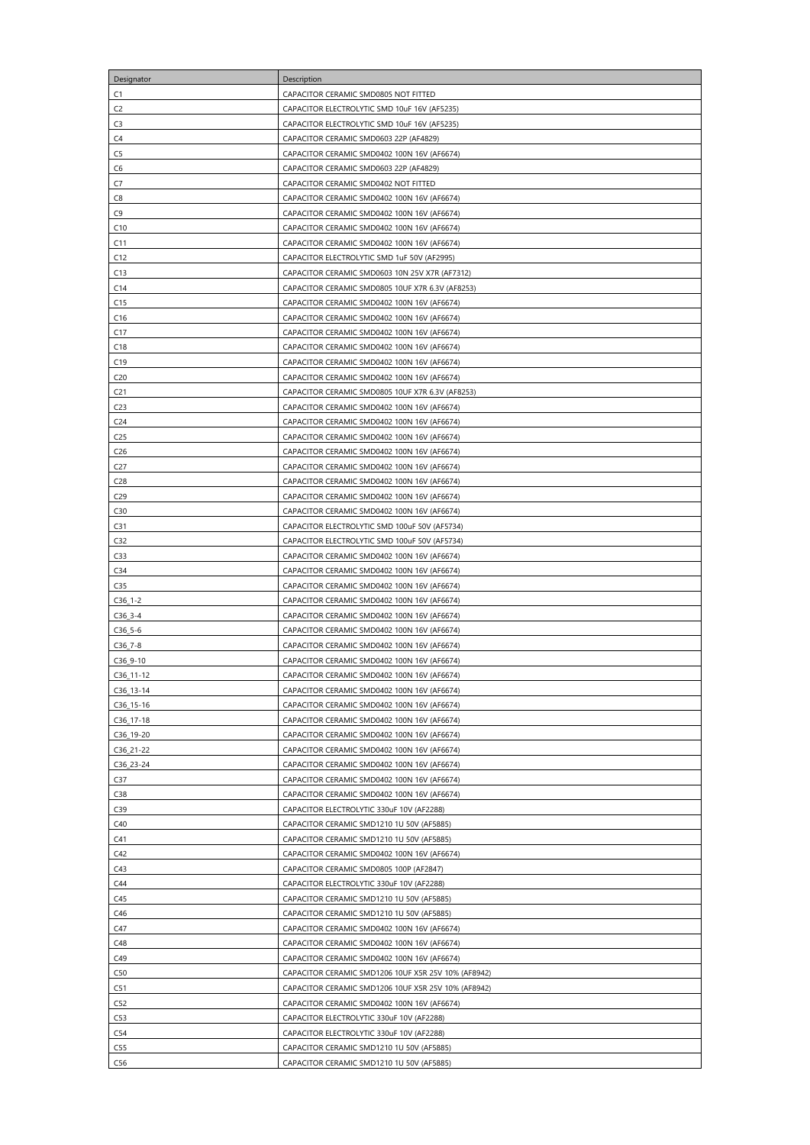| Designator             | Description                                         |
|------------------------|-----------------------------------------------------|
| C <sub>1</sub>         | CAPACITOR CERAMIC SMD0805 NOT FITTED                |
| C <sub>2</sub>         | CAPACITOR ELECTROLYTIC SMD 10uF 16V (AF5235)        |
| C <sub>3</sub>         | CAPACITOR ELECTROLYTIC SMD 10uF 16V (AF5235)        |
| C4                     | CAPACITOR CERAMIC SMD0603 22P (AF4829)              |
| C <sub>5</sub>         | CAPACITOR CERAMIC SMD0402 100N 16V (AF6674)         |
|                        |                                                     |
| C <sub>6</sub>         | CAPACITOR CERAMIC SMD0603 22P (AF4829)              |
| C7                     | CAPACITOR CERAMIC SMD0402 NOT FITTED                |
| C <sub>8</sub>         | CAPACITOR CERAMIC SMD0402 100N 16V (AF6674)         |
| C <sub>9</sub>         | CAPACITOR CERAMIC SMD0402 100N 16V (AF6674)         |
| C10                    | CAPACITOR CERAMIC SMD0402 100N 16V (AF6674)         |
| C <sub>11</sub>        | CAPACITOR CERAMIC SMD0402 100N 16V (AF6674)         |
| C12                    | CAPACITOR ELECTROLYTIC SMD 1uF 50V (AF2995)         |
| C13                    | CAPACITOR CERAMIC SMD0603 10N 25V X7R (AF7312)      |
| C <sub>14</sub>        | CAPACITOR CERAMIC SMD0805 10UF X7R 6.3V (AF8253)    |
| C15                    | CAPACITOR CERAMIC SMD0402 100N 16V (AF6674)         |
| C16                    | CAPACITOR CERAMIC SMD0402 100N 16V (AF6674)         |
| C17                    | CAPACITOR CERAMIC SMD0402 100N 16V (AF6674)         |
| C18                    | CAPACITOR CERAMIC SMD0402 100N 16V (AF6674)         |
| C19                    | CAPACITOR CERAMIC SMD0402 100N 16V (AF6674)         |
| C <sub>20</sub>        | CAPACITOR CERAMIC SMD0402 100N 16V (AF6674)         |
| C <sub>21</sub>        | CAPACITOR CERAMIC SMD0805 10UF X7R 6.3V (AF8253)    |
| C <sub>23</sub>        | CAPACITOR CERAMIC SMD0402 100N 16V (AF6674)         |
| C <sub>24</sub>        | CAPACITOR CERAMIC SMD0402 100N 16V (AF6674)         |
| C <sub>25</sub>        | CAPACITOR CERAMIC SMD0402 100N 16V (AF6674)         |
| C <sub>26</sub>        | CAPACITOR CERAMIC SMD0402 100N 16V (AF6674)         |
| C <sub>27</sub>        | CAPACITOR CERAMIC SMD0402 100N 16V (AF6674)         |
| C <sub>28</sub>        | CAPACITOR CERAMIC SMD0402 100N 16V (AF6674)         |
| C <sub>29</sub>        | CAPACITOR CERAMIC SMD0402 100N 16V (AF6674)         |
| C30                    | CAPACITOR CERAMIC SMD0402 100N 16V (AF6674)         |
| C <sub>31</sub>        | CAPACITOR ELECTROLYTIC SMD 100uF 50V (AF5734)       |
| C32                    | CAPACITOR ELECTROLYTIC SMD 100uF 50V (AF5734)       |
| C33                    | CAPACITOR CERAMIC SMD0402 100N 16V (AF6674)         |
| C <sub>34</sub>        | CAPACITOR CERAMIC SMD0402 100N 16V (AF6674)         |
| C35                    | CAPACITOR CERAMIC SMD0402 100N 16V (AF6674)         |
| $C36_1-2$              | CAPACITOR CERAMIC SMD0402 100N 16V (AF6674)         |
| $C36_3-4$              | CAPACITOR CERAMIC SMD0402 100N 16V (AF6674)         |
| $C36_5-6$              | CAPACITOR CERAMIC SMD0402 100N 16V (AF6674)         |
| $C36_7 - 8$            | CAPACITOR CERAMIC SMD0402 100N 16V (AF6674)         |
| C36_9-10               | CAPACITOR CERAMIC SMD0402 100N 16V (AF6674)         |
| $C36_111-12$           | CAPACITOR CERAMIC SMD0402 100N 16V (AF6674)         |
| $C36_13-14$            | CAPACITOR CERAMIC SMD0402 100N 16V (AF6674)         |
| C36_15-16              | CAPACITOR CERAMIC SMD0402 100N 16V (AF6674)         |
| C <sub>36</sub> _17-18 | CAPACITOR CERAMIC SMD0402 100N 16V (AF6674)         |
| C36_19-20              | CAPACITOR CERAMIC SMD0402 100N 16V (AF6674)         |
| C36_21-22              | CAPACITOR CERAMIC SMD0402 100N 16V (AF6674)         |
| C36_23-24              | CAPACITOR CERAMIC SMD0402 100N 16V (AF6674)         |
| C37                    | CAPACITOR CERAMIC SMD0402 100N 16V (AF6674)         |
| C38                    | CAPACITOR CERAMIC SMD0402 100N 16V (AF6674)         |
| C39                    | CAPACITOR ELECTROLYTIC 330uF 10V (AF2288)           |
| C40                    | CAPACITOR CERAMIC SMD1210 1U 50V (AF5885)           |
| C <sub>41</sub>        | CAPACITOR CERAMIC SMD1210 1U 50V (AF5885)           |
| C42                    | CAPACITOR CERAMIC SMD0402 100N 16V (AF6674)         |
| C <sub>43</sub>        | CAPACITOR CERAMIC SMD0805 100P (AF2847)             |
| C44                    | CAPACITOR ELECTROLYTIC 330uF 10V (AF2288)           |
| C45                    | CAPACITOR CERAMIC SMD1210 1U 50V (AF5885)           |
| C46                    | CAPACITOR CERAMIC SMD1210 1U 50V (AF5885)           |
| C47                    | CAPACITOR CERAMIC SMD0402 100N 16V (AF6674)         |
| C48                    | CAPACITOR CERAMIC SMD0402 100N 16V (AF6674)         |
| C49                    | CAPACITOR CERAMIC SMD0402 100N 16V (AF6674)         |
| C50                    | CAPACITOR CERAMIC SMD1206 10UF X5R 25V 10% (AF8942) |
| C51                    | CAPACITOR CERAMIC SMD1206 10UF X5R 25V 10% (AF8942) |
| C <sub>52</sub>        | CAPACITOR CERAMIC SMD0402 100N 16V (AF6674)         |
| C53                    | CAPACITOR ELECTROLYTIC 330uF 10V (AF2288)           |
| C54                    | CAPACITOR ELECTROLYTIC 330uF 10V (AF2288)           |
| C55                    | CAPACITOR CERAMIC SMD1210 1U 50V (AF5885)           |
| C56                    | CAPACITOR CERAMIC SMD1210 1U 50V (AF5885)           |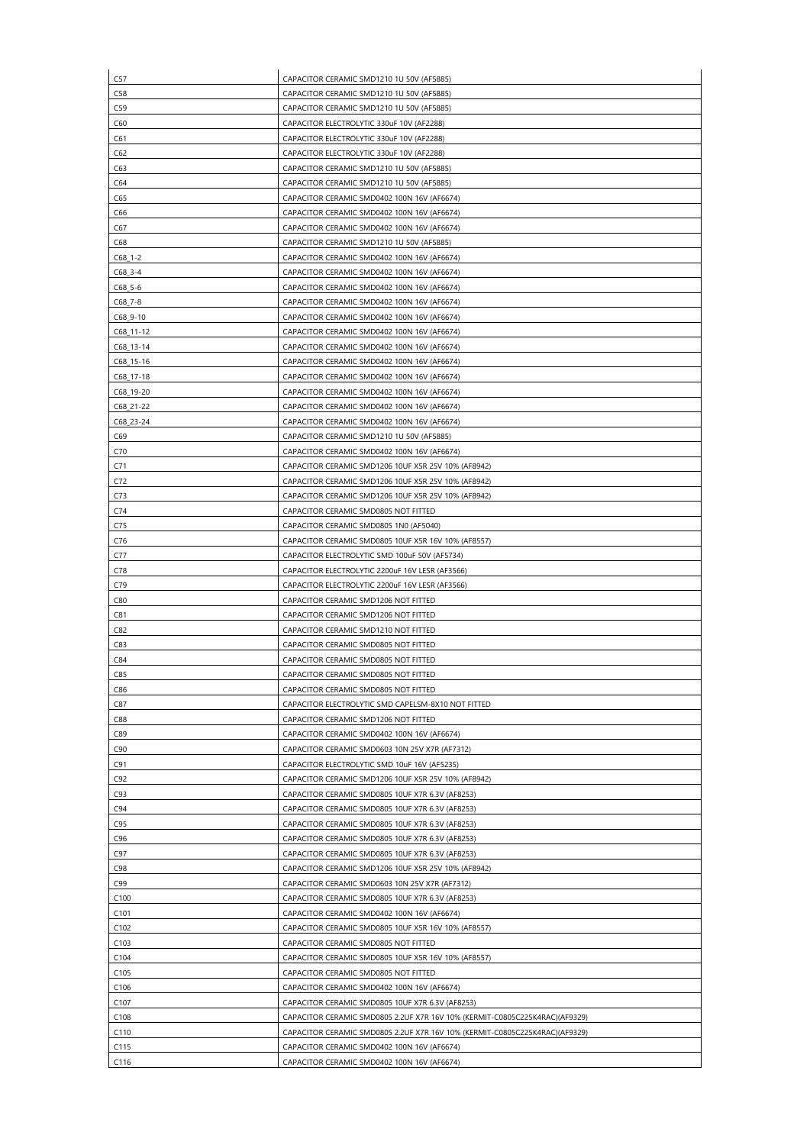| C57                    | CAPACITOR CERAMIC SMD1210 1U 50V (AF5885)                                                  |
|------------------------|--------------------------------------------------------------------------------------------|
| C58                    | CAPACITOR CERAMIC SMD1210 1U 50V (AF5885)                                                  |
| C59                    | CAPACITOR CERAMIC SMD1210 1U 50V (AF5885)                                                  |
| C60                    | CAPACITOR ELECTROLYTIC 330uF 10V (AF2288)                                                  |
| C61                    | CAPACITOR ELECTROLYTIC 330uF 10V (AF2288)                                                  |
| C62                    | CAPACITOR ELECTROLYTIC 330uF 10V (AF2288)                                                  |
| C63                    | CAPACITOR CERAMIC SMD1210 1U 50V (AF5885)                                                  |
| C64                    | CAPACITOR CERAMIC SMD1210 1U 50V (AF5885)                                                  |
| C65                    | CAPACITOR CERAMIC SMD0402 100N 16V (AF6674)                                                |
| C66                    | CAPACITOR CERAMIC SMD0402 100N 16V (AF6674)                                                |
| C67                    | CAPACITOR CERAMIC SMD0402 100N 16V (AF6674)                                                |
| C68                    | CAPACITOR CERAMIC SMD1210 1U 50V (AF5885)                                                  |
| $C68_1-2$              | CAPACITOR CERAMIC SMD0402 100N 16V (AF6674)                                                |
| $C68_3 - 4$            | CAPACITOR CERAMIC SMD0402 100N 16V (AF6674)                                                |
| $C68_5-6$              | CAPACITOR CERAMIC SMD0402 100N 16V (AF6674)                                                |
| $C68$ <sub>-7-8</sub>  | CAPACITOR CERAMIC SMD0402 100N 16V (AF6674)                                                |
| $C68_9 - 10$           | CAPACITOR CERAMIC SMD0402 100N 16V (AF6674)                                                |
| C68_11-12              | CAPACITOR CERAMIC SMD0402 100N 16V (AF6674)                                                |
| $C68_13-14$            | CAPACITOR CERAMIC SMD0402 100N 16V (AF6674)                                                |
| C68_15-16              | CAPACITOR CERAMIC SMD0402 100N 16V (AF6674)                                                |
| C68_17-18              | CAPACITOR CERAMIC SMD0402 100N 16V (AF6674)                                                |
|                        |                                                                                            |
| C68_19-20<br>C68_21-22 | CAPACITOR CERAMIC SMD0402 100N 16V (AF6674)<br>CAPACITOR CERAMIC SMD0402 100N 16V (AF6674) |
|                        |                                                                                            |
| C68_23-24              | CAPACITOR CERAMIC SMD0402 100N 16V (AF6674)                                                |
| C69                    | CAPACITOR CERAMIC SMD1210 1U 50V (AF5885)                                                  |
| C70                    | CAPACITOR CERAMIC SMD0402 100N 16V (AF6674)                                                |
| C71                    | CAPACITOR CERAMIC SMD1206 10UF X5R 25V 10% (AF8942)                                        |
| C72                    | CAPACITOR CERAMIC SMD1206 10UF X5R 25V 10% (AF8942)                                        |
| C73                    | CAPACITOR CERAMIC SMD1206 10UF X5R 25V 10% (AF8942)                                        |
| C74                    | CAPACITOR CERAMIC SMD0805 NOT FITTED                                                       |
| C75                    | CAPACITOR CERAMIC SMD0805 1N0 (AF5040)                                                     |
| C76                    | CAPACITOR CERAMIC SMD0805 10UF X5R 16V 10% (AF8557)                                        |
| C77                    | CAPACITOR ELECTROLYTIC SMD 100uF 50V (AF5734)                                              |
| C78                    | CAPACITOR ELECTROLYTIC 2200uF 16V LESR (AF3566)                                            |
| C79                    | CAPACITOR ELECTROLYTIC 2200uF 16V LESR (AF3566)                                            |
| C80                    | CAPACITOR CERAMIC SMD1206 NOT FITTED                                                       |
| C81                    | CAPACITOR CERAMIC SMD1206 NOT FITTED                                                       |
| C82                    | CAPACITOR CERAMIC SMD1210 NOT FITTED                                                       |
| C83                    | CAPACITOR CERAMIC SMD0805 NOT FITTED                                                       |
| C84                    | CAPACITOR CERAMIC SMD0805 NOT FITTED                                                       |
| C85                    | CAPACITOR CERAMIC SMD0805 NOT FITTED                                                       |
| C86                    | CAPACITOR CERAMIC SMD0805 NOT FITTED                                                       |
| C87                    | CAPACITOR ELECTROLYTIC SMD CAPELSM-8X10 NOT FITTED                                         |
| C88                    | CAPACITOR CERAMIC SMD1206 NOT FITTED                                                       |
| C89                    | CAPACITOR CERAMIC SMD0402 100N 16V (AF6674)                                                |
| C90                    | CAPACITOR CERAMIC SMD0603 10N 25V X7R (AF7312)                                             |
| C91                    | CAPACITOR ELECTROLYTIC SMD 10uF 16V (AF5235)                                               |
| C92                    | CAPACITOR CERAMIC SMD1206 10UF X5R 25V 10% (AF8942)                                        |
| C93                    | CAPACITOR CERAMIC SMD0805 10UF X7R 6.3V (AF8253)                                           |
| C94                    | CAPACITOR CERAMIC SMD0805 10UF X7R 6.3V (AF8253)                                           |
| C95                    | CAPACITOR CERAMIC SMD0805 10UF X7R 6.3V (AF8253)                                           |
| C96                    | CAPACITOR CERAMIC SMD0805 10UF X7R 6.3V (AF8253)                                           |
| C97                    | CAPACITOR CERAMIC SMD0805 10UF X7R 6.3V (AF8253)                                           |
| C <sub>98</sub>        | CAPACITOR CERAMIC SMD1206 10UF X5R 25V 10% (AF8942)                                        |
| C99                    | CAPACITOR CERAMIC SMD0603 10N 25V X7R (AF7312)                                             |
| C <sub>100</sub>       | CAPACITOR CERAMIC SMD0805 10UF X7R 6.3V (AF8253)                                           |
| C <sub>101</sub>       | CAPACITOR CERAMIC SMD0402 100N 16V (AF6674)                                                |
| C <sub>102</sub>       | CAPACITOR CERAMIC SMD0805 10UF X5R 16V 10% (AF8557)                                        |
| C103                   | CAPACITOR CERAMIC SMD0805 NOT FITTED                                                       |
| C104                   | CAPACITOR CERAMIC SMD0805 10UF X5R 16V 10% (AF8557)                                        |
| C <sub>105</sub>       | CAPACITOR CERAMIC SMD0805 NOT FITTED                                                       |
| C <sub>106</sub>       | CAPACITOR CERAMIC SMD0402 100N 16V (AF6674)                                                |
| C <sub>107</sub>       | CAPACITOR CERAMIC SMD0805 10UF X7R 6.3V (AF8253)                                           |
| C <sub>108</sub>       | CAPACITOR CERAMIC SMD0805 2.2UF X7R 16V 10% (KERMIT-C0805C225K4RAC)(AF9329)                |
| C110                   | CAPACITOR CERAMIC SMD0805 2.2UF X7R 16V 10% (KERMIT-C0805C225K4RAC)(AF9329)                |
| C115                   | CAPACITOR CERAMIC SMD0402 100N 16V (AF6674)                                                |
|                        | CAPACITOR CERAMIC SMD0402 100N 16V (AF6674)                                                |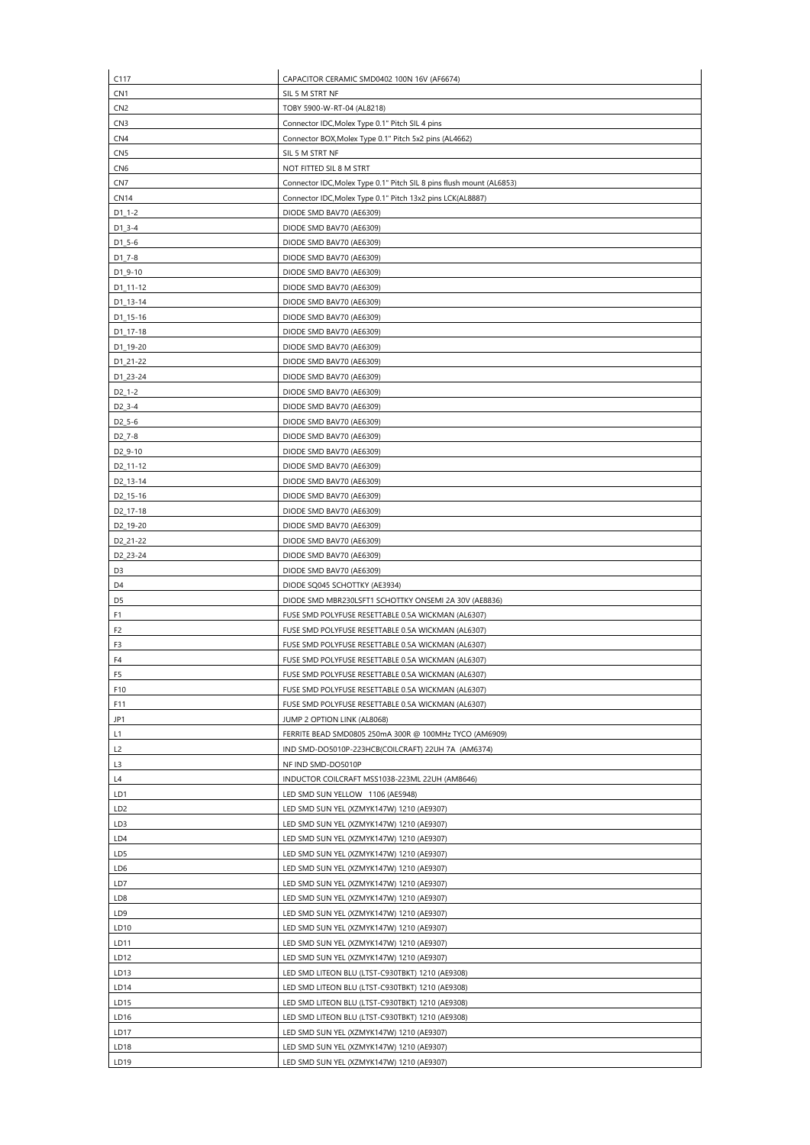| C117                   | CAPACITOR CERAMIC SMD0402 100N 16V (AF6674)                                            |
|------------------------|----------------------------------------------------------------------------------------|
| CN <sub>1</sub>        | SIL 5 M STRT NF                                                                        |
| CN <sub>2</sub>        | TOBY 5900-W-RT-04 (AL8218)                                                             |
| CN <sub>3</sub>        | Connector IDC, Molex Type 0.1" Pitch SIL 4 pins                                        |
| CN <sub>4</sub>        | Connector BOX, Molex Type 0.1" Pitch 5x2 pins (AL4662)                                 |
| CN <sub>5</sub>        | SIL 5 M STRT NF                                                                        |
| CN <sub>6</sub>        | NOT FITTED SIL 8 M STRT                                                                |
| CN <sub>7</sub>        | Connector IDC, Molex Type 0.1" Pitch SIL 8 pins flush mount (AL6853)                   |
| <b>CN14</b>            | Connector IDC, Molex Type 0.1" Pitch 13x2 pins LCK(AL8887)                             |
| $D1_1 - 2$             | DIODE SMD BAV70 (AE6309)                                                               |
| $D1_3 - 4$             | DIODE SMD BAV70 (AE6309)                                                               |
| $D1_5 - 6$             | DIODE SMD BAV70 (AE6309)                                                               |
| $D1_7 - 8$             | DIODE SMD BAV70 (AE6309)                                                               |
| $D1_9 - 10$            | DIODE SMD BAV70 (AE6309)                                                               |
| D1_11-12               | DIODE SMD BAV70 (AE6309)                                                               |
| D1_13-14               | DIODE SMD BAV70 (AE6309)                                                               |
| D1_15-16               | DIODE SMD BAV70 (AE6309)                                                               |
| D1_17-18               | DIODE SMD BAV70 (AE6309)                                                               |
| D1_19-20               | DIODE SMD BAV70 (AE6309)                                                               |
| D1_21-22               | DIODE SMD BAV70 (AE6309)                                                               |
| D1_23-24               | DIODE SMD BAV70 (AE6309)                                                               |
| $D2_1-2$               | DIODE SMD BAV70 (AE6309)                                                               |
| $D2_3 - 4$             | DIODE SMD BAV70 (AE6309)                                                               |
| $D2_5 - 6$             | DIODE SMD BAV70 (AE6309)                                                               |
| D <sub>2_7</sub> -8    | DIODE SMD BAV70 (AE6309)                                                               |
| D <sub>2_9</sub> -10   | DIODE SMD BAV70 (AE6309)                                                               |
| D <sub>2_11-12</sub>   | DIODE SMD BAV70 (AE6309)                                                               |
| D <sub>2</sub> _13-14  | DIODE SMD BAV70 (AE6309)                                                               |
| D <sub>2_15-16</sub>   | DIODE SMD BAV70 (AE6309)                                                               |
| D <sub>2</sub> _17-18  | DIODE SMD BAV70 (AE6309)                                                               |
| D <sub>2</sub> _19-20  | DIODE SMD BAV70 (AE6309)                                                               |
| D2_21-22               | DIODE SMD BAV70 (AE6309)                                                               |
| D2_23-24               | DIODE SMD BAV70 (AE6309)                                                               |
| D <sub>3</sub>         | DIODE SMD BAV70 (AE6309)                                                               |
| D <sub>4</sub>         | DIODE SQ045 SCHOTTKY (AE3934)                                                          |
| D <sub>5</sub>         | DIODE SMD MBR230LSFT1 SCHOTTKY ONSEMI 2A 30V (AE8836)                                  |
| F <sub>1</sub>         | FUSE SMD POLYFUSE RESETTABLE 0.5A WICKMAN (AL6307)                                     |
| F <sub>2</sub>         | FUSE SMD POLYFUSE RESETTABLE 0.5A WICKMAN (AL6307)                                     |
| F3                     | FUSE SMD POLYFUSE RESETTABLE 0.5A WICKMAN (AL6307)                                     |
| F4                     | FUSE SMD POLYFUSE RESETTABLE 0.5A WICKMAN (AL6307)                                     |
| F <sub>5</sub>         | FUSE SMD POLYFUSE RESETTABLE 0.5A WICKMAN (AL6307)                                     |
| F10                    | FUSE SMD POLYFUSE RESETTABLE 0.5A WICKMAN (AL6307)                                     |
| F11                    | FUSE SMD POLYFUSE RESETTABLE 0.5A WICKMAN (AL6307)                                     |
| JP1                    | JUMP 2 OPTION LINK (AL8068)                                                            |
| L1                     | FERRITE BEAD SMD0805 250mA 300R @ 100MHz TYCO (AM6909)                                 |
| L2                     | IND SMD-DO5010P-223HCB(COILCRAFT) 22UH 7A (AM6374)                                     |
| L <sub>3</sub>         | NF IND SMD-DO5010P                                                                     |
| L4                     | INDUCTOR COILCRAFT MSS1038-223ML 22UH (AM8646)                                         |
| LD1                    | LED SMD SUN YELLOW 1106 (AE5948)                                                       |
| LD <sub>2</sub><br>LD3 | LED SMD SUN YEL (XZMYK147W) 1210 (AE9307)                                              |
|                        | LED SMD SUN YEL (XZMYK147W) 1210 (AE9307)                                              |
| LD4<br>LD5             | LED SMD SUN YEL (XZMYK147W) 1210 (AE9307)<br>LED SMD SUN YEL (XZMYK147W) 1210 (AE9307) |
| LD6                    | LED SMD SUN YEL (XZMYK147W) 1210 (AE9307)                                              |
| LD7                    | LED SMD SUN YEL (XZMYK147W) 1210 (AE9307)                                              |
| LD8                    | LED SMD SUN YEL (XZMYK147W) 1210 (AE9307)                                              |
| LD9                    | LED SMD SUN YEL (XZMYK147W) 1210 (AE9307)                                              |
| LD <sub>10</sub>       | LED SMD SUN YEL (XZMYK147W) 1210 (AE9307)                                              |
| LD11                   | LED SMD SUN YEL (XZMYK147W) 1210 (AE9307)                                              |
| LD12                   | LED SMD SUN YEL (XZMYK147W) 1210 (AE9307)                                              |
| LD13                   | LED SMD LITEON BLU (LTST-C930TBKT) 1210 (AE9308)                                       |
| LD <sub>14</sub>       | LED SMD LITEON BLU (LTST-C930TBKT) 1210 (AE9308)                                       |
| LD15                   | LED SMD LITEON BLU (LTST-C930TBKT) 1210 (AE9308)                                       |
| LD16                   | LED SMD LITEON BLU (LTST-C930TBKT) 1210 (AE9308)                                       |
| LD17                   | LED SMD SUN YEL (XZMYK147W) 1210 (AE9307)                                              |
| LD18                   | LED SMD SUN YEL (XZMYK147W) 1210 (AE9307)                                              |
| LD <sub>19</sub>       | LED SMD SUN YEL (XZMYK147W) 1210 (AE9307)                                              |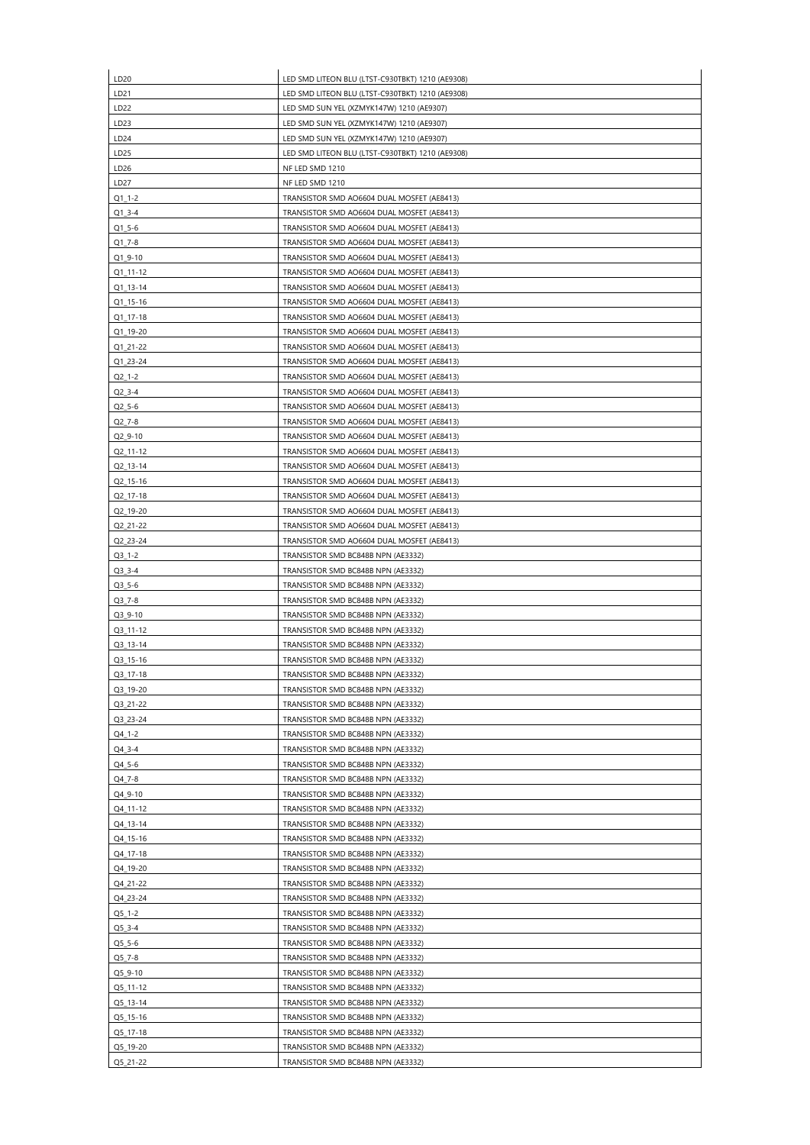| LD20             | LED SMD LITEON BLU (LTST-C930TBKT) 1210 (AE9308) |
|------------------|--------------------------------------------------|
| LD <sub>21</sub> | LED SMD LITEON BLU (LTST-C930TBKT) 1210 (AE9308) |
| LD <sub>22</sub> | LED SMD SUN YEL (XZMYK147W) 1210 (AE9307)        |
| LD23             | LED SMD SUN YEL (XZMYK147W) 1210 (AE9307)        |
| LD <sub>24</sub> | LED SMD SUN YEL (XZMYK147W) 1210 (AE9307)        |
| LD <sub>25</sub> | LED SMD LITEON BLU (LTST-C930TBKT) 1210 (AE9308) |
| LD26             | NF LED SMD 1210                                  |
| LD27             | NF LED SMD 1210                                  |
| $Q1_1-2$         | TRANSISTOR SMD AO6604 DUAL MOSFET (AE8413)       |
| $Q1_3 - 4$       | TRANSISTOR SMD AO6604 DUAL MOSFET (AE8413)       |
| $Q1_5 - 6$       | TRANSISTOR SMD AO6604 DUAL MOSFET (AE8413)       |
| $Q1_7 - 8$       | TRANSISTOR SMD AO6604 DUAL MOSFET (AE8413)       |
|                  |                                                  |
| Q1_9-10          | TRANSISTOR SMD AO6604 DUAL MOSFET (AE8413)       |
| $Q1_11-12$       | TRANSISTOR SMD AO6604 DUAL MOSFET (AE8413)       |
| $Q1_13-14$       | TRANSISTOR SMD AO6604 DUAL MOSFET (AE8413)       |
| Q1_15-16         | TRANSISTOR SMD AO6604 DUAL MOSFET (AE8413)       |
| $Q1_1$ 17-18     | TRANSISTOR SMD AO6604 DUAL MOSFET (AE8413)       |
| Q1_19-20         | TRANSISTOR SMD AO6604 DUAL MOSFET (AE8413)       |
| Q1_21-22         | TRANSISTOR SMD AO6604 DUAL MOSFET (AE8413)       |
| Q1_23-24         | TRANSISTOR SMD AO6604 DUAL MOSFET (AE8413)       |
| $Q2_1-2$         | TRANSISTOR SMD AO6604 DUAL MOSFET (AE8413)       |
| $Q2_3 - 4$       | TRANSISTOR SMD AO6604 DUAL MOSFET (AE8413)       |
| $Q2_5 - 6$       | TRANSISTOR SMD AO6604 DUAL MOSFET (AE8413)       |
| $Q2_7 - 8$       | TRANSISTOR SMD AO6604 DUAL MOSFET (AE8413)       |
| Q2_9-10          | TRANSISTOR SMD AO6604 DUAL MOSFET (AE8413)       |
| Q2_11-12         | TRANSISTOR SMD AO6604 DUAL MOSFET (AE8413)       |
| Q2 13-14         | TRANSISTOR SMD AO6604 DUAL MOSFET (AE8413)       |
| Q2_15-16         | TRANSISTOR SMD AO6604 DUAL MOSFET (AE8413)       |
| Q2_17-18         | TRANSISTOR SMD AO6604 DUAL MOSFET (AE8413)       |
| Q2_19-20         | TRANSISTOR SMD AO6604 DUAL MOSFET (AE8413)       |
| Q2_21-22         | TRANSISTOR SMD AO6604 DUAL MOSFET (AE8413)       |
| Q2_23-24         | TRANSISTOR SMD AO6604 DUAL MOSFET (AE8413)       |
| $Q3_1-2$         | TRANSISTOR SMD BC848B NPN (AE3332)               |
| $Q3_3 - 4$       | TRANSISTOR SMD BC848B NPN (AE3332)               |
| $Q3_5-6$         | TRANSISTOR SMD BC848B NPN (AE3332)               |
| $Q3_7 - 8$       | TRANSISTOR SMD BC848B NPN (AE3332)               |
| Q3_9-10          | TRANSISTOR SMD BC848B NPN (AE3332)               |
| Q3_11-12         | TRANSISTOR SMD BC848B NPN (AE3332)               |
| Q3_13-14         | TRANSISTOR SMD BC848B NPN (AE3332)               |
| Q3_15-16         | TRANSISTOR SMD BC848B NPN (AE3332)               |
| $Q3_17-18$       | TRANSISTOR SMD BC848B NPN (AE3332)               |
| Q3_19-20         | TRANSISTOR SMD BC848B NPN (AE3332)               |
| Q3_21-22         | TRANSISTOR SMD BC848B NPN (AE3332)               |
| Q3_23-24         | TRANSISTOR SMD BC848B NPN (AE3332)               |
| Q4_1-2           | TRANSISTOR SMD BC848B NPN (AE3332)               |
| Q4_3-4           | TRANSISTOR SMD BC848B NPN (AE3332)               |
|                  | TRANSISTOR SMD BC848B NPN (AE3332)               |
| Q4_5-6<br>Q4_7-8 | TRANSISTOR SMD BC848B NPN (AE3332)               |
| Q4_9-10          | TRANSISTOR SMD BC848B NPN (AE3332)               |
|                  |                                                  |
| Q4_11-12         | TRANSISTOR SMD BC848B NPN (AE3332)               |
| Q4_13-14         | TRANSISTOR SMD BC848B NPN (AE3332)               |
| Q4_15-16         | TRANSISTOR SMD BC848B NPN (AE3332)               |
| Q4_17-18         | TRANSISTOR SMD BC848B NPN (AE3332)               |
| Q4_19-20         | TRANSISTOR SMD BC848B NPN (AE3332)               |
| Q4_21-22         | TRANSISTOR SMD BC848B NPN (AE3332)               |
| Q4_23-24         | TRANSISTOR SMD BC848B NPN (AE3332)               |
| $Q5_1 - 2$       | TRANSISTOR SMD BC848B NPN (AE3332)               |
| $Q5_3 - 4$       | TRANSISTOR SMD BC848B NPN (AE3332)               |
| Q5_5-6           | TRANSISTOR SMD BC848B NPN (AE3332)               |
| Q5_7-8           | TRANSISTOR SMD BC848B NPN (AE3332)               |
| Q5_9-10          | TRANSISTOR SMD BC848B NPN (AE3332)               |
| Q5_11-12         | TRANSISTOR SMD BC848B NPN (AE3332)               |
| Q5_13-14         | TRANSISTOR SMD BC848B NPN (AE3332)               |
| Q5_15-16         | TRANSISTOR SMD BC848B NPN (AE3332)               |
| Q5_17-18         | TRANSISTOR SMD BC848B NPN (AE3332)               |
| Q5_19-20         | TRANSISTOR SMD BC848B NPN (AE3332)               |
| Q5_21-22         | TRANSISTOR SMD BC848B NPN (AE3332)               |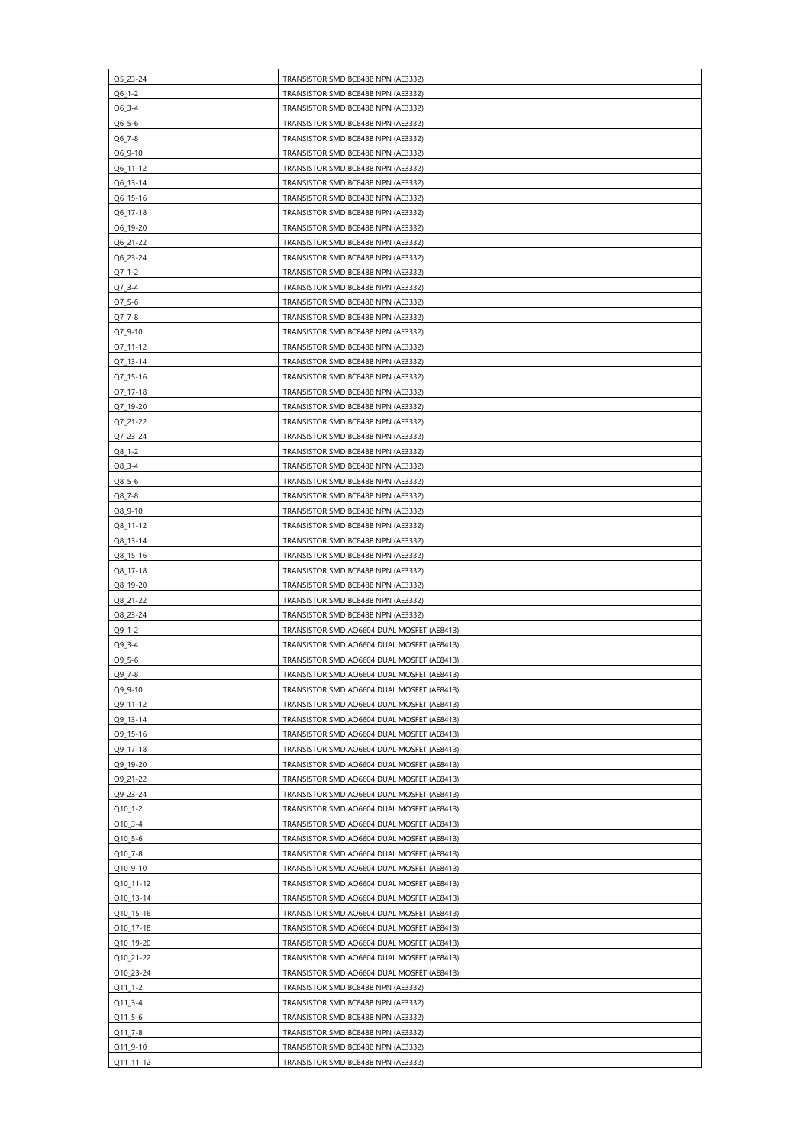| Q5_23-24    | TRANSISTOR SMD BC848B NPN (AE3332)         |
|-------------|--------------------------------------------|
| $Q6_1-2$    | TRANSISTOR SMD BC848B NPN (AE3332)         |
| Q6_3-4      | TRANSISTOR SMD BC848B NPN (AE3332)         |
| Q6_5-6      | TRANSISTOR SMD BC848B NPN (AE3332)         |
|             |                                            |
| Q6_7-8      | TRANSISTOR SMD BC848B NPN (AE3332)         |
| Q6_9-10     | TRANSISTOR SMD BC848B NPN (AE3332)         |
| Q6_11-12    | TRANSISTOR SMD BC848B NPN (AE3332)         |
| Q6_13-14    | TRANSISTOR SMD BC848B NPN (AE3332)         |
| Q6_15-16    | TRANSISTOR SMD BC848B NPN (AE3332)         |
|             |                                            |
| Q6_17-18    | TRANSISTOR SMD BC848B NPN (AE3332)         |
| Q6_19-20    | TRANSISTOR SMD BC848B NPN (AE3332)         |
| Q6_21-22    | TRANSISTOR SMD BC848B NPN (AE3332)         |
| Q6_23-24    | TRANSISTOR SMD BC848B NPN (AE3332)         |
| $Q7_1-2$    | TRANSISTOR SMD BC848B NPN (AE3332)         |
| $Q7_3 - 4$  | TRANSISTOR SMD BC848B NPN (AE3332)         |
|             |                                            |
| $Q7_5 - 6$  | TRANSISTOR SMD BC848B NPN (AE3332)         |
| Q7_7-8      | TRANSISTOR SMD BC848B NPN (AE3332)         |
| Q7 9-10     | TRANSISTOR SMD BC848B NPN (AE3332)         |
| Q7_11-12    | TRANSISTOR SMD BC848B NPN (AE3332)         |
| Q7_13-14    | TRANSISTOR SMD BC848B NPN (AE3332)         |
| Q7_15-16    | TRANSISTOR SMD BC848B NPN (AE3332)         |
|             |                                            |
| Q7_17-18    | TRANSISTOR SMD BC848B NPN (AE3332)         |
| Q7_19-20    | TRANSISTOR SMD BC848B NPN (AE3332)         |
| Q7_21-22    | TRANSISTOR SMD BC848B NPN (AE3332)         |
| Q7_23-24    | TRANSISTOR SMD BC848B NPN (AE3332)         |
| $Q8_1 - 2$  | TRANSISTOR SMD BC848B NPN (AE3332)         |
| $Q8_3 - 4$  | TRANSISTOR SMD BC848B NPN (AE3332)         |
| Q8_5-6      | TRANSISTOR SMD BC848B NPN (AE3332)         |
|             |                                            |
| Q8_7-8      | TRANSISTOR SMD BC848B NPN (AE3332)         |
| $Q8_9 - 10$ | TRANSISTOR SMD BC848B NPN (AE3332)         |
| Q8_11-12    | TRANSISTOR SMD BC848B NPN (AE3332)         |
| Q8_13-14    | TRANSISTOR SMD BC848B NPN (AE3332)         |
| Q8_15-16    | TRANSISTOR SMD BC848B NPN (AE3332)         |
| Q8_17-18    | TRANSISTOR SMD BC848B NPN (AE3332)         |
|             |                                            |
| Q8_19-20    | TRANSISTOR SMD BC848B NPN (AE3332)         |
| Q8_21-22    | TRANSISTOR SMD BC848B NPN (AE3332)         |
| Q8_23-24    | TRANSISTOR SMD BC848B NPN (AE3332)         |
| Q9_1-2      | TRANSISTOR SMD AO6604 DUAL MOSFET (AE8413) |
| $Q9_3 - 4$  | TRANSISTOR SMD AO6604 DUAL MOSFET (AE8413) |
| $Q9_5 - 6$  | TRANSISTOR SMD AO6604 DUAL MOSFET (AE8413) |
| Q9_7-8      | TRANSISTOR SMD AO6604 DUAL MOSFET (AE8413) |
| Q9_9-10     | TRANSISTOR SMD AO6604 DUAL MOSFET (AE8413) |
|             |                                            |
| Q9_11-12    | TRANSISTOR SMD AO6604 DUAL MOSFET (AE8413) |
| Q9_13-14    | TRANSISTOR SMD AO6604 DUAL MOSFET (AE8413) |
| Q9_15-16    | TRANSISTOR SMD AO6604 DUAL MOSFET (AE8413) |
| Q9_17-18    | TRANSISTOR SMD AO6604 DUAL MOSFET (AE8413) |
| Q9_19-20    | TRANSISTOR SMD AO6604 DUAL MOSFET (AE8413) |
| Q9_21-22    | TRANSISTOR SMD AO6604 DUAL MOSFET (AE8413) |
|             |                                            |
| Q9_23-24    | TRANSISTOR SMD AO6604 DUAL MOSFET (AE8413) |
| Q10_1-2     | TRANSISTOR SMD AO6604 DUAL MOSFET (AE8413) |
| Q10_3-4     | TRANSISTOR SMD AO6604 DUAL MOSFET (AE8413) |
| Q10_5-6     | TRANSISTOR SMD AO6604 DUAL MOSFET (AE8413) |
| Q10_7-8     | TRANSISTOR SMD AO6604 DUAL MOSFET (AE8413) |
| Q10_9-10    | TRANSISTOR SMD AO6604 DUAL MOSFET (AE8413) |
| Q10_11-12   | TRANSISTOR SMD AO6604 DUAL MOSFET (AE8413) |
| Q10_13-14   |                                            |
|             | TRANSISTOR SMD AO6604 DUAL MOSFET (AE8413) |
| Q10_15-16   | TRANSISTOR SMD AO6604 DUAL MOSFET (AE8413) |
| Q10_17-18   | TRANSISTOR SMD AO6604 DUAL MOSFET (AE8413) |
| Q10_19-20   | TRANSISTOR SMD AO6604 DUAL MOSFET (AE8413) |
| Q10_21-22   | TRANSISTOR SMD AO6604 DUAL MOSFET (AE8413) |
| Q10_23-24   | TRANSISTOR SMD AO6604 DUAL MOSFET (AE8413) |
|             | TRANSISTOR SMD BC848B NPN (AE3332)         |
| $Q11_1-2$   |                                            |
| Q11_3-4     | TRANSISTOR SMD BC848B NPN (AE3332)         |
| Q11_5-6     | TRANSISTOR SMD BC848B NPN (AE3332)         |
| Q11_7-8     | TRANSISTOR SMD BC848B NPN (AE3332)         |
| Q11_9-10    | TRANSISTOR SMD BC848B NPN (AE3332)         |
| Q11_11-12   | TRANSISTOR SMD BC848B NPN (AE3332)         |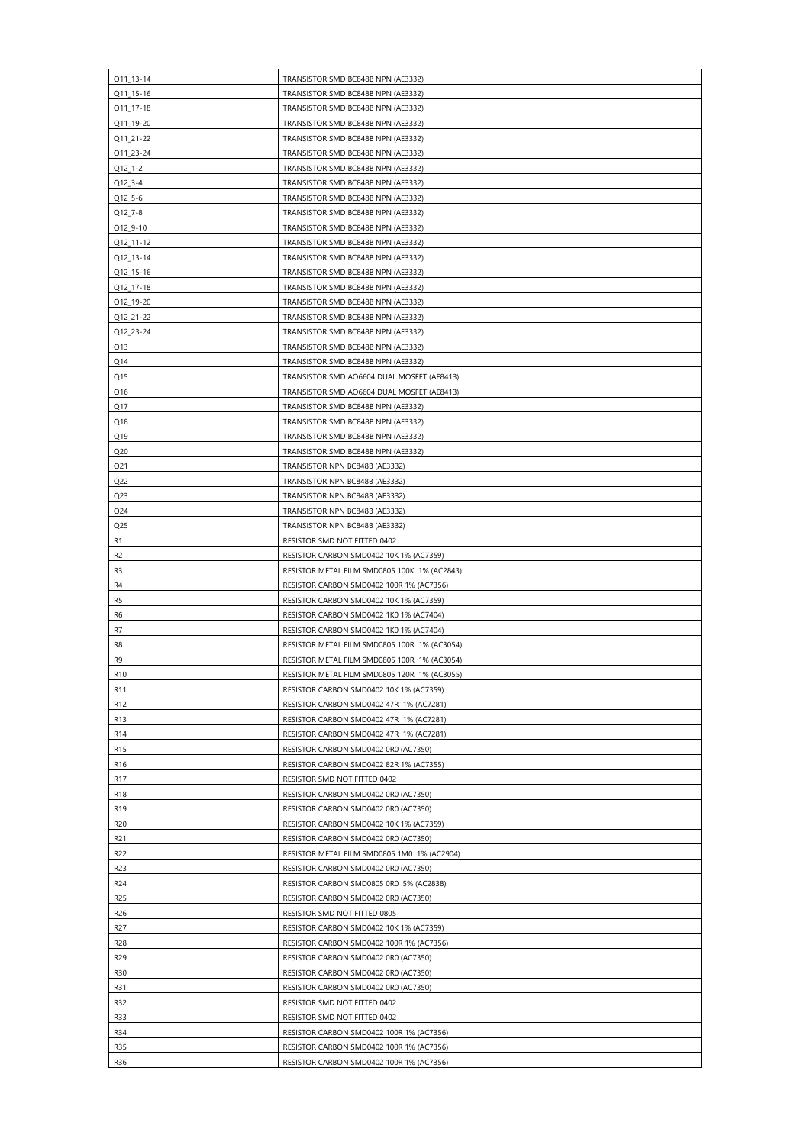| Q11_13-14       | TRANSISTOR SMD BC848B NPN (AE3332)           |
|-----------------|----------------------------------------------|
| Q11_15-16       | TRANSISTOR SMD BC848B NPN (AE3332)           |
| Q11_17-18       | TRANSISTOR SMD BC848B NPN (AE3332)           |
| Q11_19-20       | TRANSISTOR SMD BC848B NPN (AE3332)           |
| Q11_21-22       | TRANSISTOR SMD BC848B NPN (AE3332)           |
| Q11_23-24       | TRANSISTOR SMD BC848B NPN (AE3332)           |
| Q12_1-2         | TRANSISTOR SMD BC848B NPN (AE3332)           |
| Q12_3-4         | TRANSISTOR SMD BC848B NPN (AE3332)           |
| Q12_5-6         | TRANSISTOR SMD BC848B NPN (AE3332)           |
| Q12_7-8         | TRANSISTOR SMD BC848B NPN (AE3332)           |
| Q12_9-10        | TRANSISTOR SMD BC848B NPN (AE3332)           |
| Q12_11-12       | TRANSISTOR SMD BC848B NPN (AE3332)           |
|                 |                                              |
| Q12_13-14       | TRANSISTOR SMD BC848B NPN (AE3332)           |
| Q12_15-16       | TRANSISTOR SMD BC848B NPN (AE3332)           |
| Q12_17-18       | TRANSISTOR SMD BC848B NPN (AE3332)           |
| Q12_19-20       | TRANSISTOR SMD BC848B NPN (AE3332)           |
| Q12_21-22       | TRANSISTOR SMD BC848B NPN (AE3332)           |
| Q12_23-24       | TRANSISTOR SMD BC848B NPN (AE3332)           |
| Q13             | TRANSISTOR SMD BC848B NPN (AE3332)           |
| Q14             | TRANSISTOR SMD BC848B NPN (AE3332)           |
| Q15             | TRANSISTOR SMD AO6604 DUAL MOSFET (AE8413)   |
| Q16             | TRANSISTOR SMD AO6604 DUAL MOSFET (AE8413)   |
| Q17             | TRANSISTOR SMD BC848B NPN (AE3332)           |
| Q18             | TRANSISTOR SMD BC848B NPN (AE3332)           |
| Q19             | TRANSISTOR SMD BC848B NPN (AE3332)           |
| Q <sub>20</sub> | TRANSISTOR SMD BC848B NPN (AE3332)           |
| Q <sub>21</sub> | TRANSISTOR NPN BC848B (AE3332)               |
| Q <sub>22</sub> | TRANSISTOR NPN BC848B (AE3332)               |
| Q <sub>23</sub> | TRANSISTOR NPN BC848B (AE3332)               |
|                 |                                              |
| Q <sub>24</sub> | TRANSISTOR NPN BC848B (AE3332)               |
| Q <sub>25</sub> | TRANSISTOR NPN BC848B (AE3332)               |
| R <sub>1</sub>  | RESISTOR SMD NOT FITTED 0402                 |
| R <sub>2</sub>  | RESISTOR CARBON SMD0402 10K 1% (AC7359)      |
| R <sub>3</sub>  | RESISTOR METAL FILM SMD0805 100K 1% (AC2843) |
| R <sub>4</sub>  | RESISTOR CARBON SMD0402 100R 1% (AC7356)     |
| R <sub>5</sub>  | RESISTOR CARBON SMD0402 10K 1% (AC7359)      |
| R <sub>6</sub>  | RESISTOR CARBON SMD0402 1K0 1% (AC7404)      |
| R7              | RESISTOR CARBON SMD0402 1K0 1% (AC7404)      |
| R <sub>8</sub>  | RESISTOR METAL FILM SMD0805 100R 1% (AC3054) |
| R <sub>9</sub>  | RESISTOR METAL FILM SMD0805 100R 1% (AC3054) |
| R <sub>10</sub> | RESISTOR METAL FILM SMD0805 120R 1% (AC3055) |
| R <sub>11</sub> | RESISTOR CARBON SMD0402 10K 1% (AC7359)      |
| R <sub>12</sub> | RESISTOR CARBON SMD0402 47R 1% (AC7281)      |
| R <sub>13</sub> | RESISTOR CARBON SMD0402 47R 1% (AC7281)      |
| R14             | RESISTOR CARBON SMD0402 47R 1% (AC7281)      |
| R <sub>15</sub> | RESISTOR CARBON SMD0402 0R0 (AC7350)         |
| R <sub>16</sub> | RESISTOR CARBON SMD0402 82R 1% (AC7355)      |
| R <sub>17</sub> | RESISTOR SMD NOT FITTED 0402                 |
|                 |                                              |
| R <sub>18</sub> | RESISTOR CARBON SMD0402 0R0 (AC7350)         |
| R <sub>19</sub> | RESISTOR CARBON SMD0402 0R0 (AC7350)         |
| R <sub>20</sub> | RESISTOR CARBON SMD0402 10K 1% (AC7359)      |
| R <sub>21</sub> | RESISTOR CARBON SMD0402 0R0 (AC7350)         |
| R <sub>22</sub> | RESISTOR METAL FILM SMD0805 1M0 1% (AC2904)  |
| R <sub>23</sub> | RESISTOR CARBON SMD0402 0R0 (AC7350)         |
| R24             | RESISTOR CARBON SMD0805 0R0 5% (AC2838)      |
| R <sub>25</sub> | RESISTOR CARBON SMD0402 0R0 (AC7350)         |
| R <sub>26</sub> | RESISTOR SMD NOT FITTED 0805                 |
| R27             | RESISTOR CARBON SMD0402 10K 1% (AC7359)      |
| R <sub>28</sub> | RESISTOR CARBON SMD0402 100R 1% (AC7356)     |
| R29             | RESISTOR CARBON SMD0402 0R0 (AC7350)         |
| <b>R30</b>      | RESISTOR CARBON SMD0402 0R0 (AC7350)         |
|                 | RESISTOR CARBON SMD0402 0R0 (AC7350)         |
| <b>R31</b>      |                                              |
| R32             | RESISTOR SMD NOT FITTED 0402                 |
| <b>R33</b>      | RESISTOR SMD NOT FITTED 0402                 |
| <b>R34</b>      | RESISTOR CARBON SMD0402 100R 1% (AC7356)     |
| <b>R35</b>      | RESISTOR CARBON SMD0402 100R 1% (AC7356)     |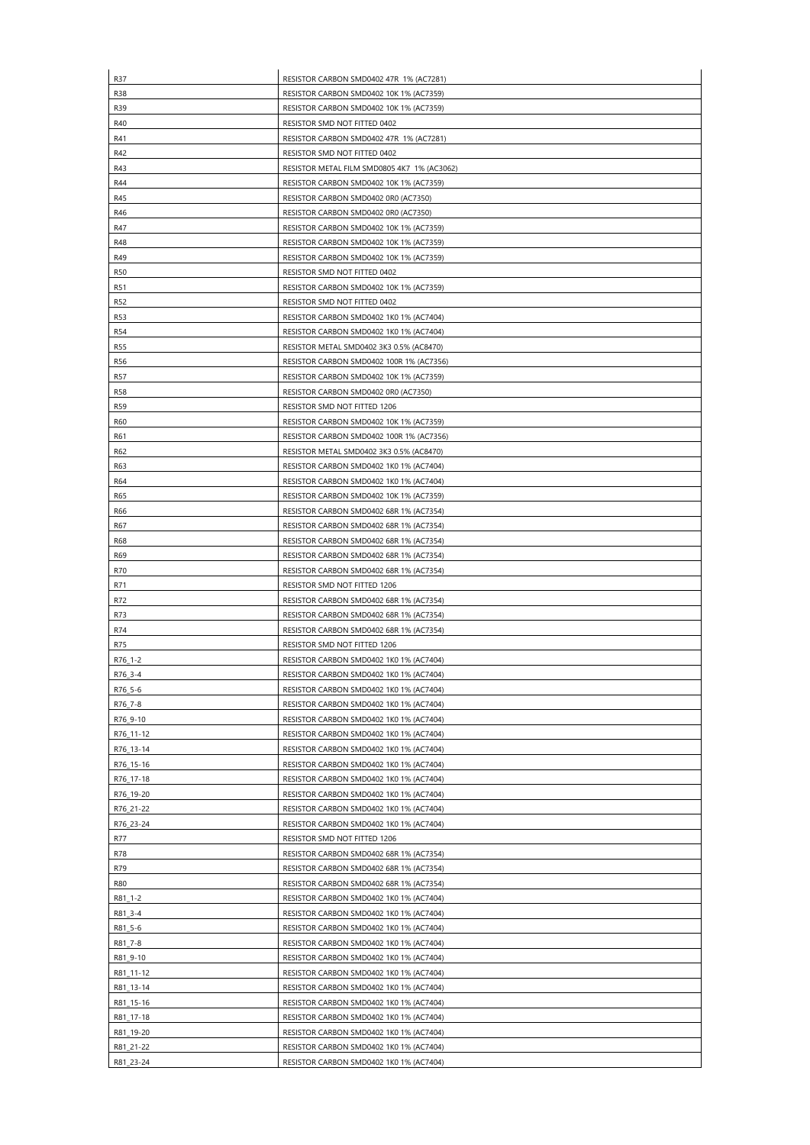| R37        | RESISTOR CARBON SMD0402 47R 1% (AC7281)     |
|------------|---------------------------------------------|
| <b>R38</b> | RESISTOR CARBON SMD0402 10K 1% (AC7359)     |
| R39        | RESISTOR CARBON SMD0402 10K 1% (AC7359)     |
| R40        | RESISTOR SMD NOT FITTED 0402                |
| R41        | RESISTOR CARBON SMD0402 47R 1% (AC7281)     |
| R42        | RESISTOR SMD NOT FITTED 0402                |
| R43        | RESISTOR METAL FILM SMD0805 4K7 1% (AC3062) |
| R44        | RESISTOR CARBON SMD0402 10K 1% (AC7359)     |
| R45        | RESISTOR CARBON SMD0402 0R0 (AC7350)        |
| R46        | RESISTOR CARBON SMD0402 0R0 (AC7350)        |
| R47        | RESISTOR CARBON SMD0402 10K 1% (AC7359)     |
| R48        |                                             |
|            | RESISTOR CARBON SMD0402 10K 1% (AC7359)     |
| R49        | RESISTOR CARBON SMD0402 10K 1% (AC7359)     |
| <b>R50</b> | RESISTOR SMD NOT FITTED 0402                |
| <b>R51</b> | RESISTOR CARBON SMD0402 10K 1% (AC7359)     |
| <b>R52</b> | RESISTOR SMD NOT FITTED 0402                |
| <b>R53</b> | RESISTOR CARBON SMD0402 1K0 1% (AC7404)     |
| R54        | RESISTOR CARBON SMD0402 1K0 1% (AC7404)     |
| <b>R55</b> | RESISTOR METAL SMD0402 3K3 0.5% (AC8470)    |
| R56        | RESISTOR CARBON SMD0402 100R 1% (AC7356)    |
| R57        | RESISTOR CARBON SMD0402 10K 1% (AC7359)     |
| <b>R58</b> | RESISTOR CARBON SMD0402 0R0 (AC7350)        |
| <b>R59</b> | RESISTOR SMD NOT FITTED 1206                |
| R60        | RESISTOR CARBON SMD0402 10K 1% (AC7359)     |
| R61        | RESISTOR CARBON SMD0402 100R 1% (AC7356)    |
| R62        | RESISTOR METAL SMD0402 3K3 0.5% (AC8470)    |
| R63        | RESISTOR CARBON SMD0402 1K0 1% (AC7404)     |
| R64        | RESISTOR CARBON SMD0402 1K0 1% (AC7404)     |
| R65        | RESISTOR CARBON SMD0402 10K 1% (AC7359)     |
| R66        | RESISTOR CARBON SMD0402 68R 1% (AC7354)     |
| R67        | RESISTOR CARBON SMD0402 68R 1% (AC7354)     |
| R68        | RESISTOR CARBON SMD0402 68R 1% (AC7354)     |
| R69        | RESISTOR CARBON SMD0402 68R 1% (AC7354)     |
| R70        | RESISTOR CARBON SMD0402 68R 1% (AC7354)     |
| R71        | RESISTOR SMD NOT FITTED 1206                |
| R72        | RESISTOR CARBON SMD0402 68R 1% (AC7354)     |
| R73        | RESISTOR CARBON SMD0402 68R 1% (AC7354)     |
| R74        | RESISTOR CARBON SMD0402 68R 1% (AC7354)     |
| R75        | RESISTOR SMD NOT FITTED 1206                |
| R76_1-2    | RESISTOR CARBON SMD0402 1K0 1% (AC7404)     |
| R76_3-4    | RESISTOR CARBON SMD0402 1K0 1% (AC7404)     |
| R76_5-6    | RESISTOR CARBON SMD0402 1K0 1% (AC7404)     |
| R76_7-8    | RESISTOR CARBON SMD0402 1K0 1% (AC7404)     |
| R76_9-10   | RESISTOR CARBON SMD0402 1K0 1% (AC7404)     |
| R76_11-12  | RESISTOR CARBON SMD0402 1K0 1% (AC7404)     |
| R76_13-14  | RESISTOR CARBON SMD0402 1K0 1% (AC7404)     |
| R76_15-16  | RESISTOR CARBON SMD0402 1K0 1% (AC7404)     |
| R76_17-18  | RESISTOR CARBON SMD0402 1K0 1% (AC7404)     |
| R76_19-20  | RESISTOR CARBON SMD0402 1K0 1% (AC7404)     |
| R76_21-22  | RESISTOR CARBON SMD0402 1K0 1% (AC7404)     |
| R76_23-24  | RESISTOR CARBON SMD0402 1K0 1% (AC7404)     |
| R77        | RESISTOR SMD NOT FITTED 1206                |
| R78        | RESISTOR CARBON SMD0402 68R 1% (AC7354)     |
| R79        | RESISTOR CARBON SMD0402 68R 1% (AC7354)     |
|            | RESISTOR CARBON SMD0402 68R 1% (AC7354)     |
| <b>R80</b> |                                             |
| R81_1-2    | RESISTOR CARBON SMD0402 1K0 1% (AC7404)     |
| R81_3-4    | RESISTOR CARBON SMD0402 1K0 1% (AC7404)     |
| R81_5-6    | RESISTOR CARBON SMD0402 1K0 1% (AC7404)     |
| R81_7-8    | RESISTOR CARBON SMD0402 1K0 1% (AC7404)     |
| R81 9-10   | RESISTOR CARBON SMD0402 1K0 1% (AC7404)     |
| R81_11-12  | RESISTOR CARBON SMD0402 1K0 1% (AC7404)     |
| R81_13-14  | RESISTOR CARBON SMD0402 1K0 1% (AC7404)     |
| R81_15-16  | RESISTOR CARBON SMD0402 1K0 1% (AC7404)     |
| R81_17-18  | RESISTOR CARBON SMD0402 1K0 1% (AC7404)     |
| R81_19-20  | RESISTOR CARBON SMD0402 1K0 1% (AC7404)     |
| R81_21-22  | RESISTOR CARBON SMD0402 1K0 1% (AC7404)     |
|            |                                             |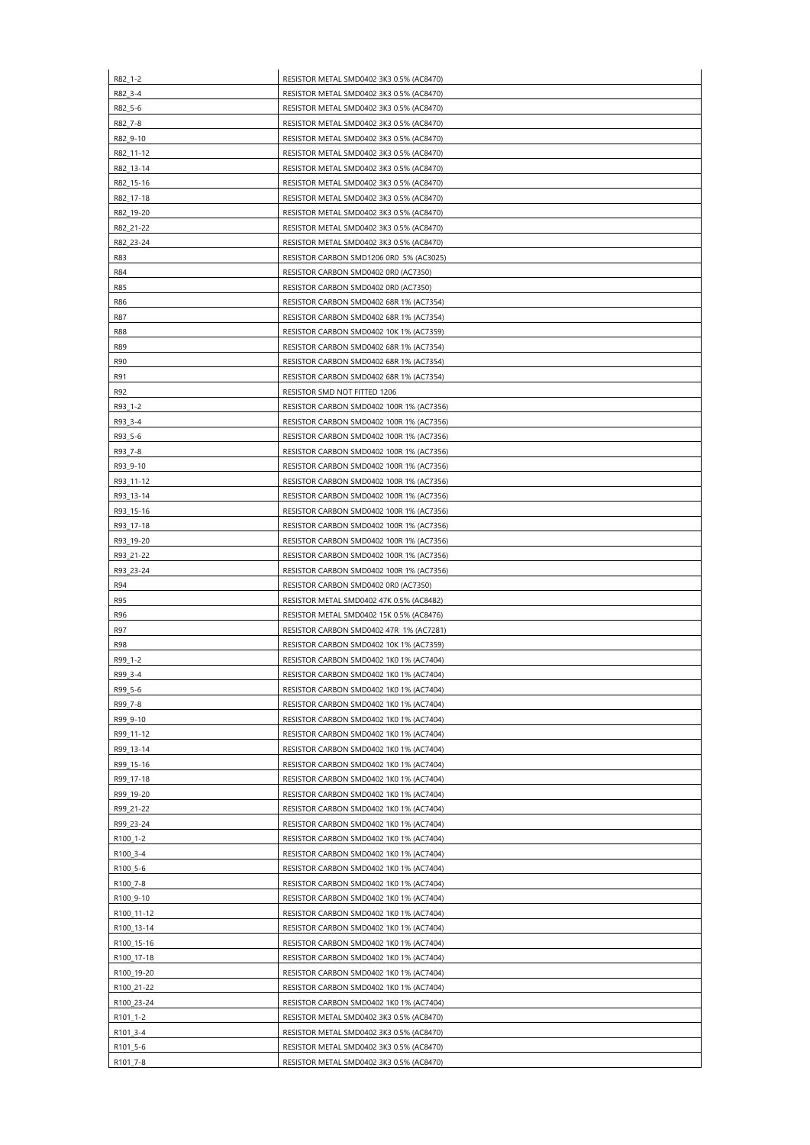| R82_1-2              | RESISTOR METAL SMD0402 3K3 0.5% (AC8470)                                             |
|----------------------|--------------------------------------------------------------------------------------|
| R82_3-4              | RESISTOR METAL SMD0402 3K3 0.5% (AC8470)                                             |
| R82_5-6              | RESISTOR METAL SMD0402 3K3 0.5% (AC8470)                                             |
| R82_7-8              | RESISTOR METAL SMD0402 3K3 0.5% (AC8470)                                             |
| R82_9-10             | RESISTOR METAL SMD0402 3K3 0.5% (AC8470)                                             |
| R82_11-12            | RESISTOR METAL SMD0402 3K3 0.5% (AC8470)                                             |
| R82 13-14            | RESISTOR METAL SMD0402 3K3 0.5% (AC8470)                                             |
| R82_15-16            | RESISTOR METAL SMD0402 3K3 0.5% (AC8470)                                             |
| R82_17-18            | RESISTOR METAL SMD0402 3K3 0.5% (AC8470)                                             |
| R82_19-20            | RESISTOR METAL SMD0402 3K3 0.5% (AC8470)                                             |
| R82_21-22            | RESISTOR METAL SMD0402 3K3 0.5% (AC8470)                                             |
| R82_23-24            | RESISTOR METAL SMD0402 3K3 0.5% (AC8470)                                             |
| R83                  | RESISTOR CARBON SMD1206 0R0 5% (AC3025)                                              |
| R84                  | RESISTOR CARBON SMD0402 0R0 (AC7350)                                                 |
| R85                  | RESISTOR CARBON SMD0402 0R0 (AC7350)                                                 |
| R86                  | RESISTOR CARBON SMD0402 68R 1% (AC7354)                                              |
| R87                  | RESISTOR CARBON SMD0402 68R 1% (AC7354)                                              |
| <b>R88</b>           | RESISTOR CARBON SMD0402 10K 1% (AC7359)                                              |
| R89                  | RESISTOR CARBON SMD0402 68R 1% (AC7354)                                              |
| R90                  | RESISTOR CARBON SMD0402 68R 1% (AC7354)                                              |
| R91                  | RESISTOR CARBON SMD0402 68R 1% (AC7354)                                              |
| R92                  | RESISTOR SMD NOT FITTED 1206                                                         |
| R93_1-2              | RESISTOR CARBON SMD0402 100R 1% (AC7356)                                             |
| R93_3-4              | RESISTOR CARBON SMD0402 100R 1% (AC7356)                                             |
| R93_5-6              | RESISTOR CARBON SMD0402 100R 1% (AC7356)                                             |
| R93_7-8              | RESISTOR CARBON SMD0402 100R 1% (AC7356)                                             |
| R93 9-10             | RESISTOR CARBON SMD0402 100R 1% (AC7356)                                             |
| R93_11-12            | RESISTOR CARBON SMD0402 100R 1% (AC7356)                                             |
| R93_13-14            | RESISTOR CARBON SMD0402 100R 1% (AC7356)                                             |
| R93_15-16            | RESISTOR CARBON SMD0402 100R 1% (AC7356)                                             |
| R93_17-18            | RESISTOR CARBON SMD0402 100R 1% (AC7356)                                             |
| R93_19-20            | RESISTOR CARBON SMD0402 100R 1% (AC7356)                                             |
| R93_21-22            |                                                                                      |
|                      | RESISTOR CARBON SMD0402 100R 1% (AC7356)                                             |
| R93_23-24<br>R94     | RESISTOR CARBON SMD0402 100R 1% (AC7356)<br>RESISTOR CARBON SMD0402 0R0 (AC7350)     |
| <b>R95</b>           | RESISTOR METAL SMD0402 47K 0.5% (AC8482)                                             |
| R96                  | RESISTOR METAL SMD0402 15K 0.5% (AC8476)                                             |
| R97                  | RESISTOR CARBON SMD0402 47R 1% (AC7281)                                              |
| R98                  | RESISTOR CARBON SMD0402 10K 1% (AC7359)                                              |
| R99_1-2              | RESISTOR CARBON SMD0402 1K0 1% (AC7404)                                              |
| R99_3-4              | RESISTOR CARBON SMD0402 1K0 1% (AC7404)                                              |
| R99_5-6              | RESISTOR CARBON SMD0402 1K0 1% (AC7404)                                              |
| R99_7-8              | RESISTOR CARBON SMD0402 1K0 1% (AC7404)                                              |
|                      |                                                                                      |
| R99_9-10             | RESISTOR CARBON SMD0402 1K0 1% (AC7404)                                              |
| R99_11-12            | RESISTOR CARBON SMD0402 1K0 1% (AC7404)                                              |
| R99_13-14            | RESISTOR CARBON SMD0402 1K0 1% (AC7404)                                              |
| R99_15-16            | RESISTOR CARBON SMD0402 1K0 1% (AC7404)                                              |
| R99_17-18            | RESISTOR CARBON SMD0402 1K0 1% (AC7404)                                              |
| R99_19-20            | RESISTOR CARBON SMD0402 1K0 1% (AC7404)                                              |
| R99_21-22            | RESISTOR CARBON SMD0402 1K0 1% (AC7404)                                              |
| R99_23-24            | RESISTOR CARBON SMD0402 1K0 1% (AC7404)                                              |
| R100_1-2             | RESISTOR CARBON SMD0402 1K0 1% (AC7404)                                              |
| R100_3-4             | RESISTOR CARBON SMD0402 1K0 1% (AC7404)                                              |
| R100_5-6             | RESISTOR CARBON SMD0402 1K0 1% (AC7404)                                              |
| R100_7-8             | RESISTOR CARBON SMD0402 1K0 1% (AC7404)                                              |
| R100_9-10            | RESISTOR CARBON SMD0402 1K0 1% (AC7404)                                              |
| R100_11-12           | RESISTOR CARBON SMD0402 1K0 1% (AC7404)                                              |
| R100_13-14           | RESISTOR CARBON SMD0402 1K0 1% (AC7404)                                              |
| R100_15-16           | RESISTOR CARBON SMD0402 1K0 1% (AC7404)                                              |
| R100_17-18           | RESISTOR CARBON SMD0402 1K0 1% (AC7404)                                              |
| R100_19-20           | RESISTOR CARBON SMD0402 1K0 1% (AC7404)                                              |
| R100_21-22           | RESISTOR CARBON SMD0402 1K0 1% (AC7404)                                              |
| R100_23-24           | RESISTOR CARBON SMD0402 1K0 1% (AC7404)                                              |
| R101_1-2             | RESISTOR METAL SMD0402 3K3 0.5% (AC8470)                                             |
| R101_3-4             | RESISTOR METAL SMD0402 3K3 0.5% (AC8470)                                             |
|                      |                                                                                      |
| R101_5-6<br>R101_7-8 | RESISTOR METAL SMD0402 3K3 0.5% (AC8470)<br>RESISTOR METAL SMD0402 3K3 0.5% (AC8470) |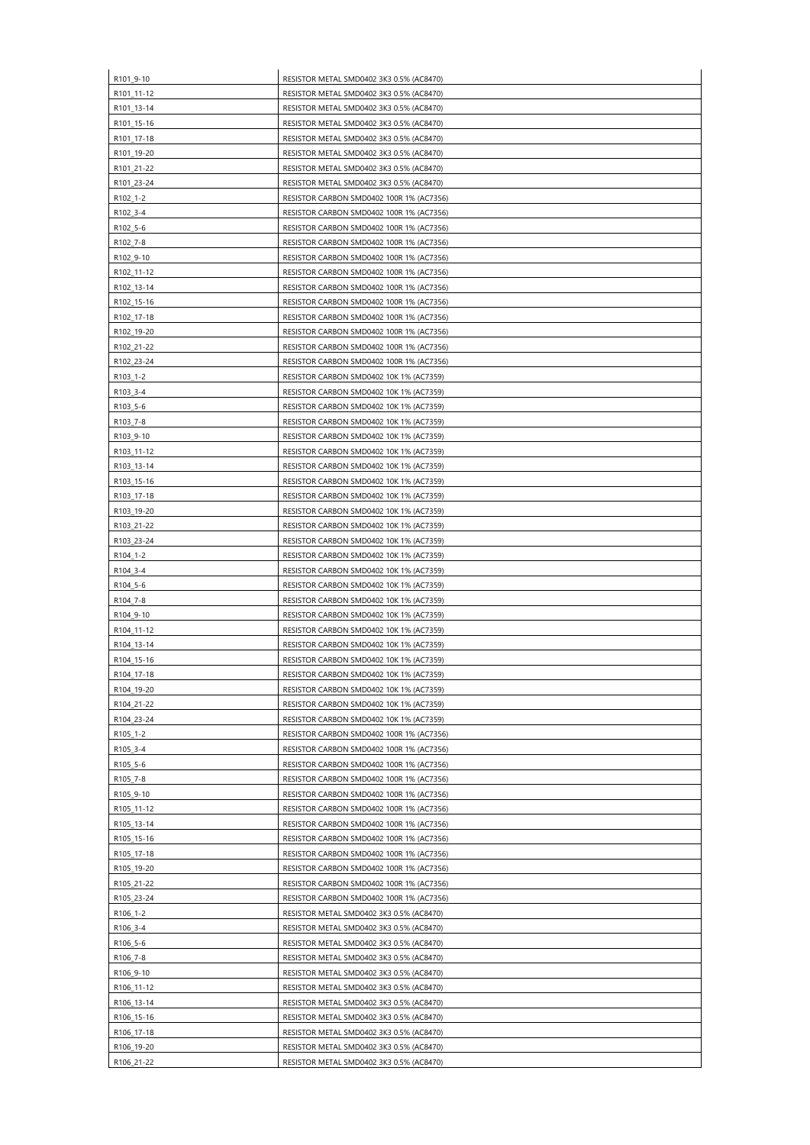| R101_9-10            | RESISTOR METAL SMD0402 3K3 0.5% (AC8470)                                             |
|----------------------|--------------------------------------------------------------------------------------|
| R101_11-12           | RESISTOR METAL SMD0402 3K3 0.5% (AC8470)                                             |
| R101_13-14           | RESISTOR METAL SMD0402 3K3 0.5% (AC8470)                                             |
| R101_15-16           | RESISTOR METAL SMD0402 3K3 0.5% (AC8470)                                             |
| R101 17-18           | RESISTOR METAL SMD0402 3K3 0.5% (AC8470)                                             |
| R101_19-20           | RESISTOR METAL SMD0402 3K3 0.5% (AC8470)                                             |
| R101_21-22           | RESISTOR METAL SMD0402 3K3 0.5% (AC8470)                                             |
| R101_23-24           | RESISTOR METAL SMD0402 3K3 0.5% (AC8470)                                             |
| R102_1-2             | RESISTOR CARBON SMD0402 100R 1% (AC7356)                                             |
| R102_3-4             | RESISTOR CARBON SMD0402 100R 1% (AC7356)                                             |
|                      |                                                                                      |
| R102_5-6<br>R102_7-8 | RESISTOR CARBON SMD0402 100R 1% (AC7356)<br>RESISTOR CARBON SMD0402 100R 1% (AC7356) |
|                      |                                                                                      |
| R102_9-10            | RESISTOR CARBON SMD0402 100R 1% (AC7356)                                             |
| R102 11-12           | RESISTOR CARBON SMD0402 100R 1% (AC7356)                                             |
| R102_13-14           | RESISTOR CARBON SMD0402 100R 1% (AC7356)                                             |
| R102_15-16           | RESISTOR CARBON SMD0402 100R 1% (AC7356)                                             |
| R102 17-18           | RESISTOR CARBON SMD0402 100R 1% (AC7356)                                             |
| R102_19-20           | RESISTOR CARBON SMD0402 100R 1% (AC7356)                                             |
| R102_21-22           | RESISTOR CARBON SMD0402 100R 1% (AC7356)                                             |
| R102_23-24           | RESISTOR CARBON SMD0402 100R 1% (AC7356)                                             |
| R103_1-2             | RESISTOR CARBON SMD0402 10K 1% (AC7359)                                              |
| R103_3-4             | RESISTOR CARBON SMD0402 10K 1% (AC7359)                                              |
| R103_5-6             | RESISTOR CARBON SMD0402 10K 1% (AC7359)                                              |
| R103_7-8             | RESISTOR CARBON SMD0402 10K 1% (AC7359)                                              |
| R103_9-10            | RESISTOR CARBON SMD0402 10K 1% (AC7359)                                              |
| R103_11-12           | RESISTOR CARBON SMD0402 10K 1% (AC7359)                                              |
| R103_13-14           | RESISTOR CARBON SMD0402 10K 1% (AC7359)                                              |
| R103_15-16           | RESISTOR CARBON SMD0402 10K 1% (AC7359)                                              |
| R103_17-18           | RESISTOR CARBON SMD0402 10K 1% (AC7359)                                              |
| R103_19-20           | RESISTOR CARBON SMD0402 10K 1% (AC7359)                                              |
| R103 21-22           | RESISTOR CARBON SMD0402 10K 1% (AC7359)                                              |
| R103_23-24           | RESISTOR CARBON SMD0402 10K 1% (AC7359)                                              |
| R104_1-2             | RESISTOR CARBON SMD0402 10K 1% (AC7359)                                              |
| R104_3-4             | RESISTOR CARBON SMD0402 10K 1% (AC7359)                                              |
| R104_5-6             | RESISTOR CARBON SMD0402 10K 1% (AC7359)                                              |
| R104_7-8             | RESISTOR CARBON SMD0402 10K 1% (AC7359)                                              |
| R104 9-10            | RESISTOR CARBON SMD0402 10K 1% (AC7359)                                              |
| R104_11-12           | RESISTOR CARBON SMD0402 10K 1% (AC7359)                                              |
| R104_13-14           | RESISTOR CARBON SMD0402 10K 1% (AC7359)                                              |
| R104_15-16           | RESISTOR CARBON SMD0402 10K 1% (AC7359)                                              |
| R104_17-18           | RESISTOR CARBON SMD0402 10K 1% (AC7359)                                              |
| R104_19-20           | RESISTOR CARBON SMD0402 10K 1% (AC7359)                                              |
| R104_21-22           | RESISTOR CARBON SMD0402 10K 1% (AC7359)                                              |
|                      |                                                                                      |
| R104_23-24           | RESISTOR CARBON SMD0402 10K 1% (AC7359)                                              |
| R105_1-2             | RESISTOR CARBON SMD0402 100R 1% (AC7356)                                             |
| R105_3-4             | RESISTOR CARBON SMD0402 100R 1% (AC7356)                                             |
| R105_5-6             | RESISTOR CARBON SMD0402 100R 1% (AC7356)                                             |
| R105_7-8             | RESISTOR CARBON SMD0402 100R 1% (AC7356)                                             |
| R105_9-10            | RESISTOR CARBON SMD0402 100R 1% (AC7356)                                             |
| R105_11-12           | RESISTOR CARBON SMD0402 100R 1% (AC7356)                                             |
| R105_13-14           | RESISTOR CARBON SMD0402 100R 1% (AC7356)                                             |
| R105_15-16           | RESISTOR CARBON SMD0402 100R 1% (AC7356)                                             |
| R105_17-18           | RESISTOR CARBON SMD0402 100R 1% (AC7356)                                             |
| R105_19-20           | RESISTOR CARBON SMD0402 100R 1% (AC7356)                                             |
| R105 21-22           | RESISTOR CARBON SMD0402 100R 1% (AC7356)                                             |
| R105_23-24           | RESISTOR CARBON SMD0402 100R 1% (AC7356)                                             |
| R106_1-2             | RESISTOR METAL SMD0402 3K3 0.5% (AC8470)                                             |
| R106_3-4             | RESISTOR METAL SMD0402 3K3 0.5% (AC8470)                                             |
| R106_5-6             | RESISTOR METAL SMD0402 3K3 0.5% (AC8470)                                             |
| R106_7-8             | RESISTOR METAL SMD0402 3K3 0.5% (AC8470)                                             |
| R106 9-10            | RESISTOR METAL SMD0402 3K3 0.5% (AC8470)                                             |
| R106_11-12           | RESISTOR METAL SMD0402 3K3 0.5% (AC8470)                                             |
| R106_13-14           | RESISTOR METAL SMD0402 3K3 0.5% (AC8470)                                             |
| R106_15-16           | RESISTOR METAL SMD0402 3K3 0.5% (AC8470)                                             |
| R106_17-18           | RESISTOR METAL SMD0402 3K3 0.5% (AC8470)                                             |
| R106_19-20           | RESISTOR METAL SMD0402 3K3 0.5% (AC8470)                                             |
| R106_21-22           | RESISTOR METAL SMD0402 3K3 0.5% (AC8470)                                             |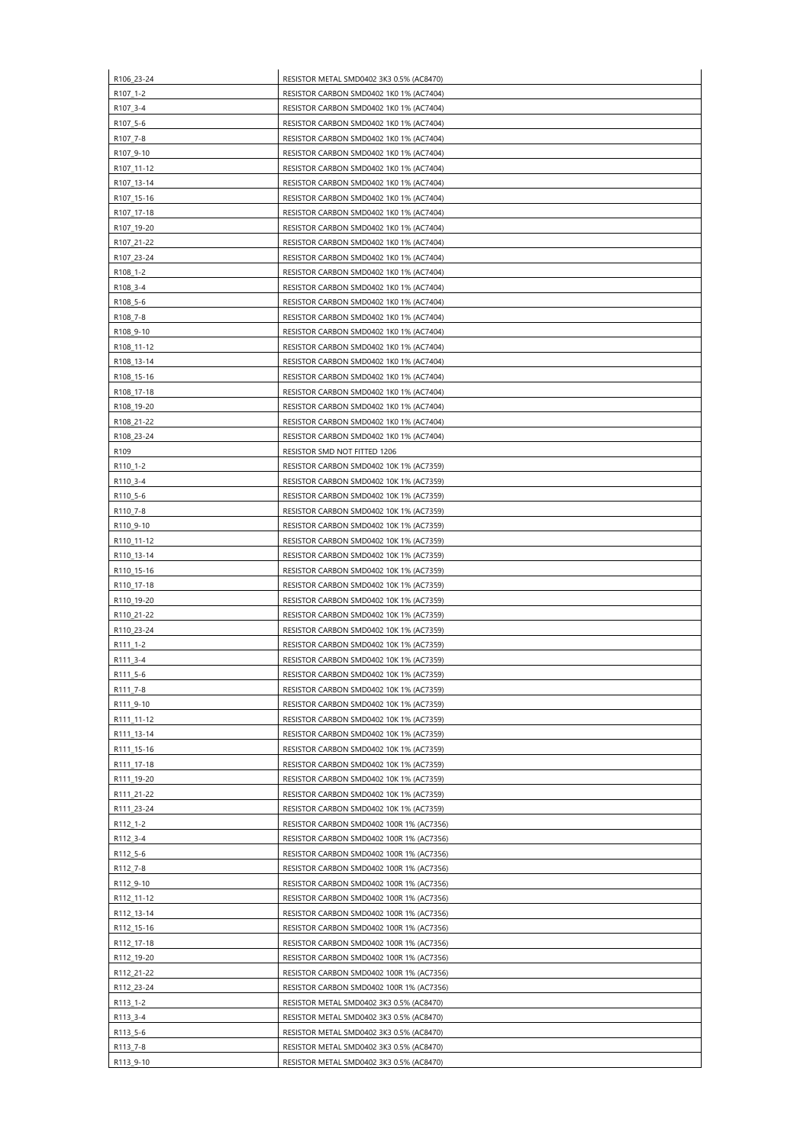| R106_23-24               | RESISTOR METAL SMD0402 3K3 0.5% (AC8470)                                                  |
|--------------------------|-------------------------------------------------------------------------------------------|
| R107_1-2                 | RESISTOR CARBON SMD0402 1K0 1% (AC7404)                                                   |
| R107_3-4                 | RESISTOR CARBON SMD0402 1K0 1% (AC7404)                                                   |
| R107_5-6                 | RESISTOR CARBON SMD0402 1K0 1% (AC7404)                                                   |
| R107_7-8                 | RESISTOR CARBON SMD0402 1K0 1% (AC7404)                                                   |
| R107_9-10                | RESISTOR CARBON SMD0402 1K0 1% (AC7404)                                                   |
| R107 11-12               | RESISTOR CARBON SMD0402 1K0 1% (AC7404)                                                   |
| R107_13-14               | RESISTOR CARBON SMD0402 1K0 1% (AC7404)                                                   |
| R107_15-16               | RESISTOR CARBON SMD0402 1K0 1% (AC7404)                                                   |
| R107_17-18               | RESISTOR CARBON SMD0402 1K0 1% (AC7404)                                                   |
| R107_19-20               | RESISTOR CARBON SMD0402 1K0 1% (AC7404)                                                   |
| R107_21-22               | RESISTOR CARBON SMD0402 1K0 1% (AC7404)                                                   |
| R107_23-24               | RESISTOR CARBON SMD0402 1K0 1% (AC7404)                                                   |
| R108 1-2                 | RESISTOR CARBON SMD0402 1K0 1% (AC7404)                                                   |
| R108_3-4                 | RESISTOR CARBON SMD0402 1K0 1% (AC7404)                                                   |
| R108_5-6                 | RESISTOR CARBON SMD0402 1K0 1% (AC7404)                                                   |
| R108_7-8                 | RESISTOR CARBON SMD0402 1K0 1% (AC7404)                                                   |
| R108_9-10                | RESISTOR CARBON SMD0402 1K0 1% (AC7404)<br>RESISTOR CARBON SMD0402 1K0 1% (AC7404)        |
| R108_11-12<br>R108_13-14 | RESISTOR CARBON SMD0402 1K0 1% (AC7404)                                                   |
| R108_15-16               | RESISTOR CARBON SMD0402 1K0 1% (AC7404)                                                   |
| R108_17-18               | RESISTOR CARBON SMD0402 1K0 1% (AC7404)                                                   |
| R108_19-20               | RESISTOR CARBON SMD0402 1K0 1% (AC7404)                                                   |
| R108_21-22               | RESISTOR CARBON SMD0402 1K0 1% (AC7404)                                                   |
| R108_23-24               | RESISTOR CARBON SMD0402 1K0 1% (AC7404)                                                   |
| R <sub>109</sub>         | RESISTOR SMD NOT FITTED 1206                                                              |
| R110_1-2                 | RESISTOR CARBON SMD0402 10K 1% (AC7359)                                                   |
| R110_3-4                 | RESISTOR CARBON SMD0402 10K 1% (AC7359)                                                   |
| R110_5-6                 | RESISTOR CARBON SMD0402 10K 1% (AC7359)                                                   |
| R110 7-8                 | RESISTOR CARBON SMD0402 10K 1% (AC7359)                                                   |
| R110_9-10                | RESISTOR CARBON SMD0402 10K 1% (AC7359)                                                   |
| R110_11-12               | RESISTOR CARBON SMD0402 10K 1% (AC7359)                                                   |
| R110_13-14               | RESISTOR CARBON SMD0402 10K 1% (AC7359)                                                   |
| R110_15-16               | RESISTOR CARBON SMD0402 10K 1% (AC7359)                                                   |
| R110_17-18               | RESISTOR CARBON SMD0402 10K 1% (AC7359)                                                   |
| R110_19-20<br>R110_21-22 | RESISTOR CARBON SMD0402 10K 1% (AC7359)<br><b>RESISTOR CARBON SMD0402 10K 1% (AC7359)</b> |
| R110_23-24               | RESISTOR CARBON SMD0402 10K 1% (AC7359)                                                   |
| R111_1-2                 | RESISTOR CARBON SMD0402 10K 1% (AC7359)                                                   |
| R111_3-4                 | RESISTOR CARBON SMD0402 10K 1% (AC7359)                                                   |
| R111_5-6                 | RESISTOR CARBON SMD0402 10K 1% (AC7359)                                                   |
| R111_7-8                 | RESISTOR CARBON SMD0402 10K 1% (AC7359)                                                   |
| R111_9-10                | RESISTOR CARBON SMD0402 10K 1% (AC7359)                                                   |
| R111_11-12               | RESISTOR CARBON SMD0402 10K 1% (AC7359)                                                   |
| R111_13-14               | RESISTOR CARBON SMD0402 10K 1% (AC7359)                                                   |
| R111_15-16               | RESISTOR CARBON SMD0402 10K 1% (AC7359)                                                   |
| R111_17-18               | RESISTOR CARBON SMD0402 10K 1% (AC7359)                                                   |
| R111_19-20               | RESISTOR CARBON SMD0402 10K 1% (AC7359)                                                   |
| R111_21-22               | RESISTOR CARBON SMD0402 10K 1% (AC7359)                                                   |
| R111_23-24               | RESISTOR CARBON SMD0402 10K 1% (AC7359)                                                   |
| R112_1-2<br>R112_3-4     | RESISTOR CARBON SMD0402 100R 1% (AC7356)<br>RESISTOR CARBON SMD0402 100R 1% (AC7356)      |
| R112_5-6                 | RESISTOR CARBON SMD0402 100R 1% (AC7356)                                                  |
| R112_7-8                 | RESISTOR CARBON SMD0402 100R 1% (AC7356)                                                  |
| R112_9-10                | RESISTOR CARBON SMD0402 100R 1% (AC7356)                                                  |
| R112_11-12               | RESISTOR CARBON SMD0402 100R 1% (AC7356)                                                  |
| R112_13-14               | RESISTOR CARBON SMD0402 100R 1% (AC7356)                                                  |
| R112_15-16               | RESISTOR CARBON SMD0402 100R 1% (AC7356)                                                  |
| R112_17-18               | RESISTOR CARBON SMD0402 100R 1% (AC7356)                                                  |
| R112_19-20               | RESISTOR CARBON SMD0402 100R 1% (AC7356)                                                  |
| R112_21-22               | RESISTOR CARBON SMD0402 100R 1% (AC7356)                                                  |
| R112_23-24               | RESISTOR CARBON SMD0402 100R 1% (AC7356)                                                  |
| R113_1-2                 | RESISTOR METAL SMD0402 3K3 0.5% (AC8470)                                                  |
| R113_3-4                 | RESISTOR METAL SMD0402 3K3 0.5% (AC8470)                                                  |
| R113_5-6                 | RESISTOR METAL SMD0402 3K3 0.5% (AC8470)                                                  |
| R113_7-8<br>R113_9-10    | RESISTOR METAL SMD0402 3K3 0.5% (AC8470)<br>RESISTOR METAL SMD0402 3K3 0.5% (AC8470)      |
|                          |                                                                                           |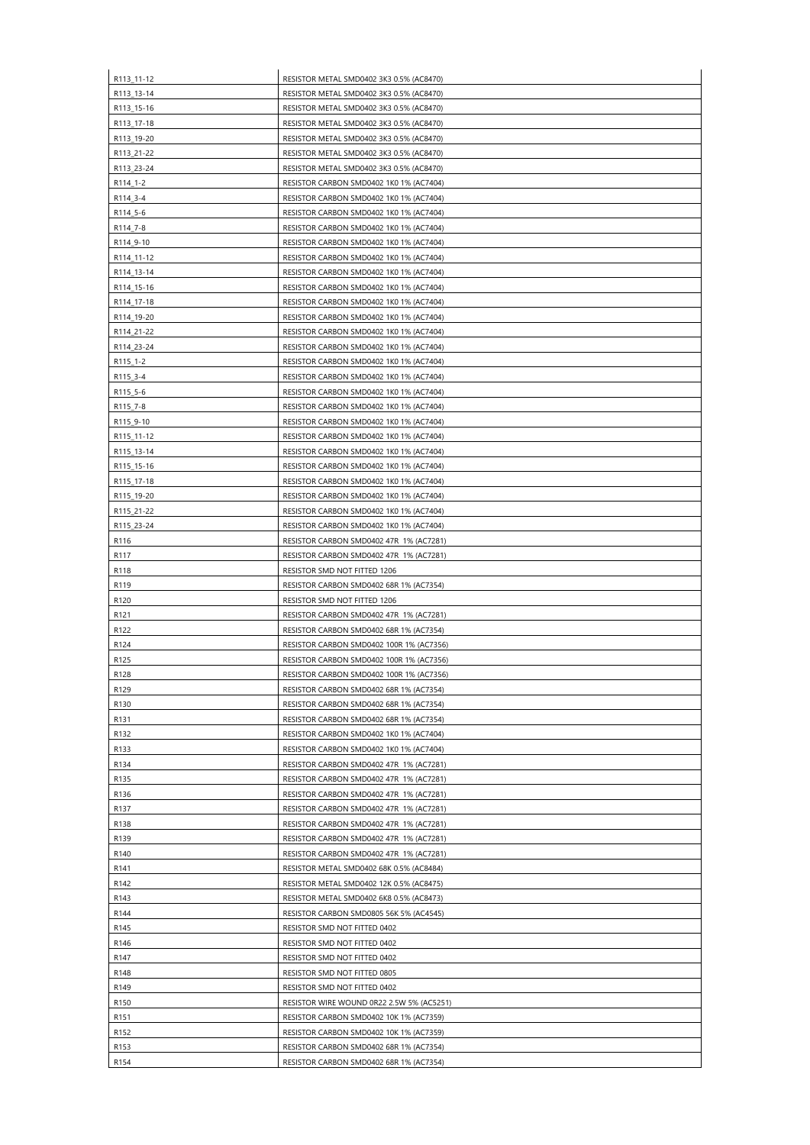| R113_11-12               | RESISTOR METAL SMD0402 3K3 0.5% (AC8470)                                           |
|--------------------------|------------------------------------------------------------------------------------|
| R113_13-14               | RESISTOR METAL SMD0402 3K3 0.5% (AC8470)                                           |
| R113_15-16               | RESISTOR METAL SMD0402 3K3 0.5% (AC8470)                                           |
| R113_17-18               | RESISTOR METAL SMD0402 3K3 0.5% (AC8470)                                           |
| R113_19-20               | RESISTOR METAL SMD0402 3K3 0.5% (AC8470)                                           |
| R113_21-22               | RESISTOR METAL SMD0402 3K3 0.5% (AC8470)                                           |
| R113_23-24               | RESISTOR METAL SMD0402 3K3 0.5% (AC8470)                                           |
| R114_1-2                 | RESISTOR CARBON SMD0402 1K0 1% (AC7404)                                            |
| R114_3-4                 | RESISTOR CARBON SMD0402 1K0 1% (AC7404)                                            |
| R114_5-6                 | RESISTOR CARBON SMD0402 1K0 1% (AC7404)                                            |
| R114_7-8                 | RESISTOR CARBON SMD0402 1K0 1% (AC7404)                                            |
| R114_9-10                | RESISTOR CARBON SMD0402 1K0 1% (AC7404)                                            |
| R114_11-12               | RESISTOR CARBON SMD0402 1K0 1% (AC7404)<br>RESISTOR CARBON SMD0402 1K0 1% (AC7404) |
| R114_13-14<br>R114_15-16 | RESISTOR CARBON SMD0402 1K0 1% (AC7404)                                            |
| R114_17-18               | RESISTOR CARBON SMD0402 1K0 1% (AC7404)                                            |
| R114_19-20               | RESISTOR CARBON SMD0402 1K0 1% (AC7404)                                            |
| R114_21-22               | RESISTOR CARBON SMD0402 1K0 1% (AC7404)                                            |
| R114_23-24               | RESISTOR CARBON SMD0402 1K0 1% (AC7404)                                            |
| R115_1-2                 | RESISTOR CARBON SMD0402 1K0 1% (AC7404)                                            |
| R115_3-4                 | RESISTOR CARBON SMD0402 1K0 1% (AC7404)                                            |
| R115_5-6                 | RESISTOR CARBON SMD0402 1K0 1% (AC7404)                                            |
| R115_7-8                 | RESISTOR CARBON SMD0402 1K0 1% (AC7404)                                            |
| R115_9-10                | RESISTOR CARBON SMD0402 1K0 1% (AC7404)                                            |
| R115_11-12               | RESISTOR CARBON SMD0402 1K0 1% (AC7404)                                            |
| R115_13-14               | RESISTOR CARBON SMD0402 1K0 1% (AC7404)                                            |
| R115_15-16               | RESISTOR CARBON SMD0402 1K0 1% (AC7404)                                            |
| R115_17-18               | RESISTOR CARBON SMD0402 1K0 1% (AC7404)                                            |
| R115 19-20               | RESISTOR CARBON SMD0402 1K0 1% (AC7404)                                            |
| R115_21-22               | RESISTOR CARBON SMD0402 1K0 1% (AC7404)                                            |
| R115 23-24               | RESISTOR CARBON SMD0402 1K0 1% (AC7404)                                            |
| R116                     | RESISTOR CARBON SMD0402 47R 1% (AC7281)                                            |
| R117                     | RESISTOR CARBON SMD0402 47R 1% (AC7281)<br><b>RESISTOR SMD NOT FITTED 1206</b>     |
| R118<br>R119             | RESISTOR CARBON SMD0402 68R 1% (AC7354)                                            |
| R <sub>120</sub>         | RESISTOR SMD NOT FITTED 1206                                                       |
| R <sub>121</sub>         | RESISTOR CARBON SMD0402 47R 1% (AC7281)                                            |
| R122                     | RESISTOR CARBON SMD0402 68R 1% (AC7354)                                            |
| R124                     | RESISTOR CARBON SMD0402 100R 1% (AC7356)                                           |
| R125                     | RESISTOR CARBON SMD0402 100R 1% (AC7356)                                           |
| R128                     | RESISTOR CARBON SMD0402 100R 1% (AC7356)                                           |
| R129                     | RESISTOR CARBON SMD0402 68R 1% (AC7354)                                            |
| R <sub>130</sub>         | RESISTOR CARBON SMD0402 68R 1% (AC7354)                                            |
| R <sub>131</sub>         | RESISTOR CARBON SMD0402 68R 1% (AC7354)                                            |
| R132                     | RESISTOR CARBON SMD0402 1K0 1% (AC7404)                                            |
| R133                     | RESISTOR CARBON SMD0402 1K0 1% (AC7404)                                            |
| R134                     | RESISTOR CARBON SMD0402 47R 1% (AC7281)                                            |
| R135                     | RESISTOR CARBON SMD0402 47R 1% (AC7281)                                            |
| R136                     | RESISTOR CARBON SMD0402 47R 1% (AC7281)                                            |
| R137                     | RESISTOR CARBON SMD0402 47R 1% (AC7281)                                            |
| R138<br>R139             | RESISTOR CARBON SMD0402 47R 1% (AC7281)<br>RESISTOR CARBON SMD0402 47R 1% (AC7281) |
| R140                     | RESISTOR CARBON SMD0402 47R 1% (AC7281)                                            |
| R141                     | RESISTOR METAL SMD0402 68K 0.5% (AC8484)                                           |
| R142                     | RESISTOR METAL SMD0402 12K 0.5% (AC8475)                                           |
| R143                     | RESISTOR METAL SMD0402 6K8 0.5% (AC8473)                                           |
| R144                     | RESISTOR CARBON SMD0805 56K 5% (AC4545)                                            |
| R145                     | RESISTOR SMD NOT FITTED 0402                                                       |
| R146                     | RESISTOR SMD NOT FITTED 0402                                                       |
| R147                     | RESISTOR SMD NOT FITTED 0402                                                       |
| R148                     | RESISTOR SMD NOT FITTED 0805                                                       |
| R149                     | RESISTOR SMD NOT FITTED 0402                                                       |
| R150                     | RESISTOR WIRE WOUND 0R22 2.5W 5% (AC5251)                                          |
| R151                     | RESISTOR CARBON SMD0402 10K 1% (AC7359)                                            |
| R <sub>152</sub>         | RESISTOR CARBON SMD0402 10K 1% (AC7359)                                            |
| R153                     | RESISTOR CARBON SMD0402 68R 1% (AC7354)                                            |
| R154                     | RESISTOR CARBON SMD0402 68R 1% (AC7354)                                            |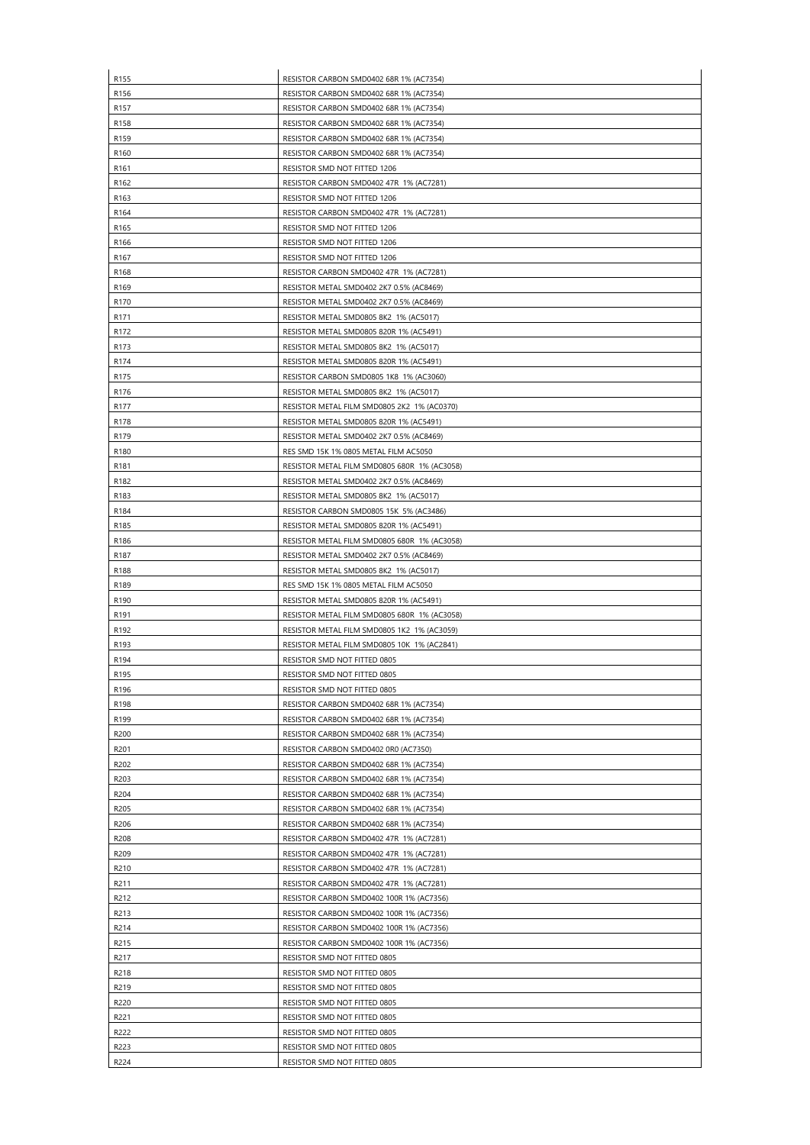| R155             | RESISTOR CARBON SMD0402 68R 1% (AC7354)                                              |
|------------------|--------------------------------------------------------------------------------------|
| R156             | RESISTOR CARBON SMD0402 68R 1% (AC7354)                                              |
| R <sub>157</sub> | RESISTOR CARBON SMD0402 68R 1% (AC7354)                                              |
| R <sub>158</sub> | RESISTOR CARBON SMD0402 68R 1% (AC7354)                                              |
| R159             | RESISTOR CARBON SMD0402 68R 1% (AC7354)                                              |
| R160             | RESISTOR CARBON SMD0402 68R 1% (AC7354)                                              |
| R <sub>161</sub> | RESISTOR SMD NOT FITTED 1206                                                         |
| R <sub>162</sub> | RESISTOR CARBON SMD0402 47R 1% (AC7281)                                              |
| R163             | RESISTOR SMD NOT FITTED 1206                                                         |
| R <sub>164</sub> | RESISTOR CARBON SMD0402 47R 1% (AC7281)                                              |
| R165             | RESISTOR SMD NOT FITTED 1206                                                         |
| R166             | RESISTOR SMD NOT FITTED 1206                                                         |
| R <sub>167</sub> | <b>RESISTOR SMD NOT FITTED 1206</b>                                                  |
| R168             | RESISTOR CARBON SMD0402 47R 1% (AC7281)                                              |
| R169             | RESISTOR METAL SMD0402 2K7 0.5% (AC8469)                                             |
| R170             | RESISTOR METAL SMD0402 2K7 0.5% (AC8469)                                             |
| R <sub>171</sub> | RESISTOR METAL SMD0805 8K2 1% (AC5017)                                               |
| R172             | RESISTOR METAL SMD0805 820R 1% (AC5491)                                              |
| R <sub>173</sub> | RESISTOR METAL SMD0805 8K2 1% (AC5017)                                               |
| R174             | RESISTOR METAL SMD0805 820R 1% (AC5491)                                              |
| R175             | RESISTOR CARBON SMD0805 1K8 1% (AC3060)                                              |
| R <sub>176</sub> | RESISTOR METAL SMD0805 8K2 1% (AC5017)                                               |
| R177             | RESISTOR METAL FILM SMD0805 2K2 1% (AC0370)                                          |
| R178             | RESISTOR METAL SMD0805 820R 1% (AC5491)                                              |
| R179             | RESISTOR METAL SMD0402 2K7 0.5% (AC8469)                                             |
| R180             | RES SMD 15K 1% 0805 METAL FILM AC5050                                                |
| R181             | RESISTOR METAL FILM SMD0805 680R 1% (AC3058)                                         |
| R <sub>182</sub> | RESISTOR METAL SMD0402 2K7 0.5% (AC8469)                                             |
| R <sub>183</sub> | RESISTOR METAL SMD0805 8K2 1% (AC5017)                                               |
| R184             | RESISTOR CARBON SMD0805 15K 5% (AC3486)                                              |
| R185             | RESISTOR METAL SMD0805 820R 1% (AC5491)                                              |
| R186             | RESISTOR METAL FILM SMD0805 680R 1% (AC3058)                                         |
| R187             | RESISTOR METAL SMD0402 2K7 0.5% (AC8469)                                             |
| R <sub>188</sub> | RESISTOR METAL SMD0805 8K2 1% (AC5017)                                               |
| R189             | RES SMD 15K 1% 0805 METAL FILM AC5050                                                |
| R190             | RESISTOR METAL SMD0805 820R 1% (AC5491)                                              |
| R191             | RESISTOR METAL FILM SMD0805 680R 1% (AC3058)                                         |
| R192             | RESISTOR METAL FILM SMD0805 1K2 1% (AC3059)                                          |
| R193             | RESISTOR METAL FILM SMD0805 10K 1% (AC2841)                                          |
| R <sub>194</sub> | RESISTOR SMD NOT FITTED 0805                                                         |
| R <sub>195</sub> | RESISTOR SMD NOT FITTED 0805                                                         |
| R196             | RESISTOR SMD NOT FITTED 0805                                                         |
| R198             | RESISTOR CARBON SMD0402 68R 1% (AC7354)                                              |
| R199             | RESISTOR CARBON SMD0402 68R 1% (AC7354)                                              |
| R200             | RESISTOR CARBON SMD0402 68R 1% (AC7354)                                              |
| R <sub>201</sub> | RESISTOR CARBON SMD0402 0R0 (AC7350)                                                 |
| R202             | RESISTOR CARBON SMD0402 68R 1% (AC7354)                                              |
| R203             | RESISTOR CARBON SMD0402 68R 1% (AC7354)                                              |
| R204             | RESISTOR CARBON SMD0402 68R 1% (AC7354)                                              |
| R205             | RESISTOR CARBON SMD0402 68R 1% (AC7354)                                              |
| R206             | RESISTOR CARBON SMD0402 68R 1% (AC7354)                                              |
| R208             | RESISTOR CARBON SMD0402 47R 1% (AC7281)                                              |
| R209             |                                                                                      |
|                  | RESISTOR CARBON SMD0402 47R 1% (AC7281)                                              |
| R210             | RESISTOR CARBON SMD0402 47R 1% (AC7281)                                              |
| R211             | RESISTOR CARBON SMD0402 47R 1% (AC7281)                                              |
| R212             |                                                                                      |
| R213             | RESISTOR CARBON SMD0402 100R 1% (AC7356)<br>RESISTOR CARBON SMD0402 100R 1% (AC7356) |
| R214             |                                                                                      |
|                  | RESISTOR CARBON SMD0402 100R 1% (AC7356)                                             |
| R215             | RESISTOR CARBON SMD0402 100R 1% (AC7356)                                             |
| R217             | RESISTOR SMD NOT FITTED 0805                                                         |
| R218             | RESISTOR SMD NOT FITTED 0805                                                         |
| R219             | RESISTOR SMD NOT FITTED 0805                                                         |
| R220             | RESISTOR SMD NOT FITTED 0805                                                         |
| R221             | RESISTOR SMD NOT FITTED 0805                                                         |
| R222<br>R223     | RESISTOR SMD NOT FITTED 0805<br>RESISTOR SMD NOT FITTED 0805                         |